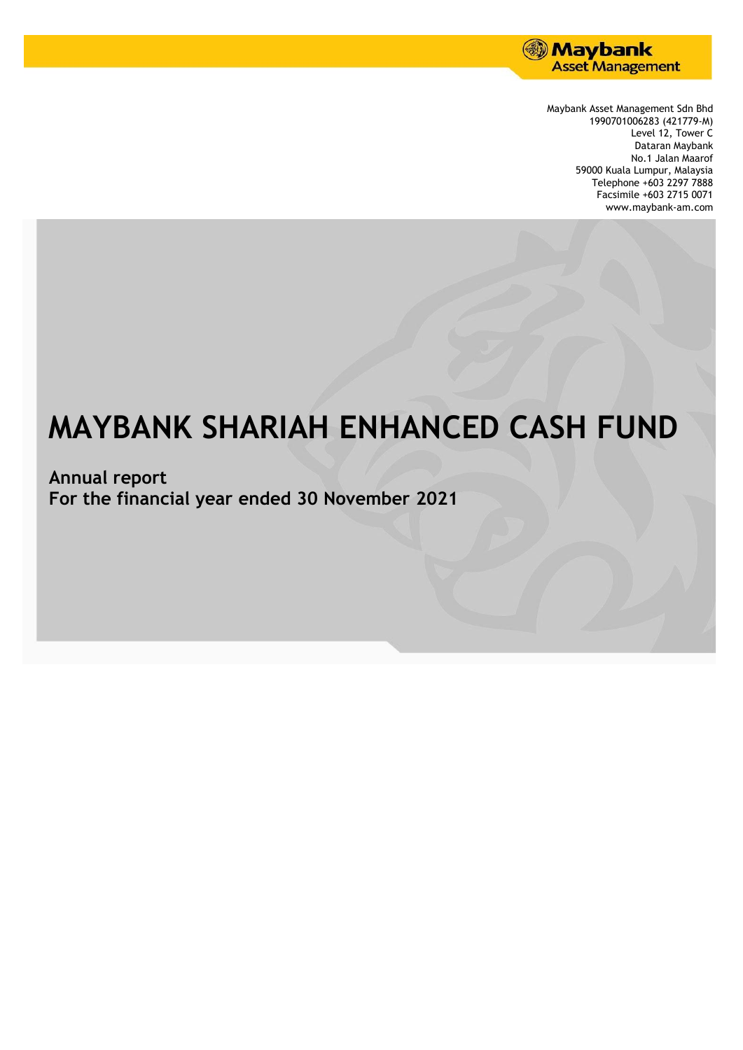

Maybank Asset Management Sdn Bhd 1990701006283 (421779-M) Level 12, Tower C Dataran Maybank No.1 Jalan Maarof 59000 Kuala Lumpur, Malaysia Telephone +603 2297 7888 Facsimile +603 2715 0071 www.maybank-am.com

# **MAYBANK SHARIAH ENHANCED CASH FUND**

**Annual report For the financial year ended 30 November 2021**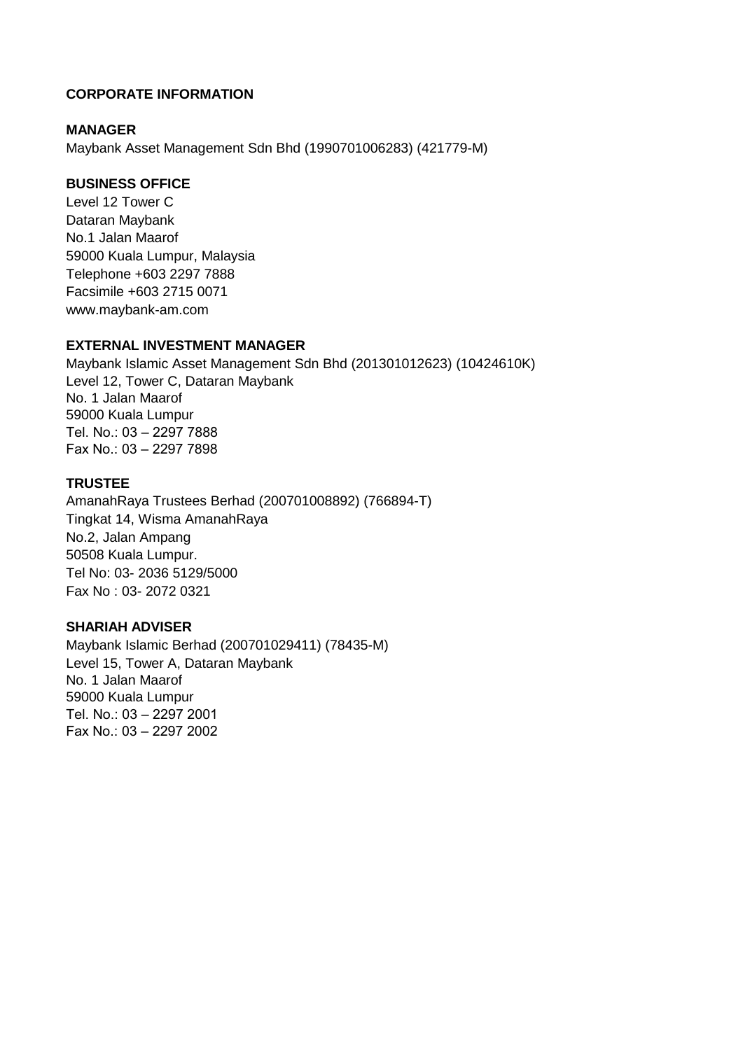# **CORPORATE INFORMATION**

## **MANAGER**

Maybank Asset Management Sdn Bhd (1990701006283) (421779-M)

## **BUSINESS OFFICE**

Level 12 Tower C Dataran Maybank No.1 Jalan Maarof 59000 Kuala Lumpur, Malaysia Telephone +603 2297 7888 Facsimile +603 2715 0071 www.maybank-am.com

## **EXTERNAL INVESTMENT MANAGER**

Maybank Islamic Asset Management Sdn Bhd (201301012623) (10424610K) Level 12, Tower C, Dataran Maybank No. 1 Jalan Maarof 59000 Kuala Lumpur Tel. No.: 03 – 2297 7888 Fax No.: 03 – 2297 7898

## **TRUSTEE**

AmanahRaya Trustees Berhad (200701008892) (766894-T) Tingkat 14, Wisma AmanahRaya No.2, Jalan Ampang 50508 Kuala Lumpur. Tel No: 03- 2036 5129/5000 Fax No : 03- 2072 0321

## **SHARIAH ADVISER**

Maybank Islamic Berhad (200701029411) (78435-M) Level 15, Tower A, Dataran Maybank No. 1 Jalan Maarof 59000 Kuala Lumpur Tel. No.: 03 – 2297 2001 Fax No.: 03 – 2297 2002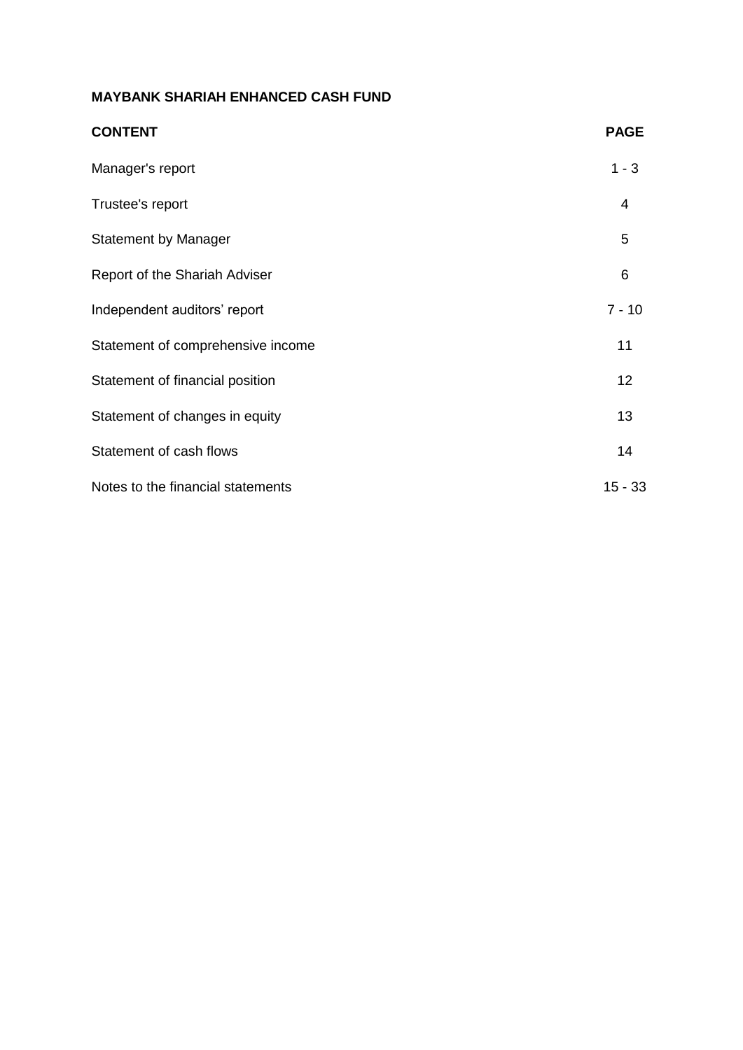| <b>CONTENT</b>                    | <b>PAGE</b>    |
|-----------------------------------|----------------|
| Manager's report                  | $1 - 3$        |
| Trustee's report                  | $\overline{4}$ |
| <b>Statement by Manager</b>       | 5              |
| Report of the Shariah Adviser     | 6              |
| Independent auditors' report      | $7 - 10$       |
| Statement of comprehensive income | 11             |
| Statement of financial position   | 12             |
| Statement of changes in equity    | 13             |
| Statement of cash flows           | 14             |
| Notes to the financial statements | $15 - 33$      |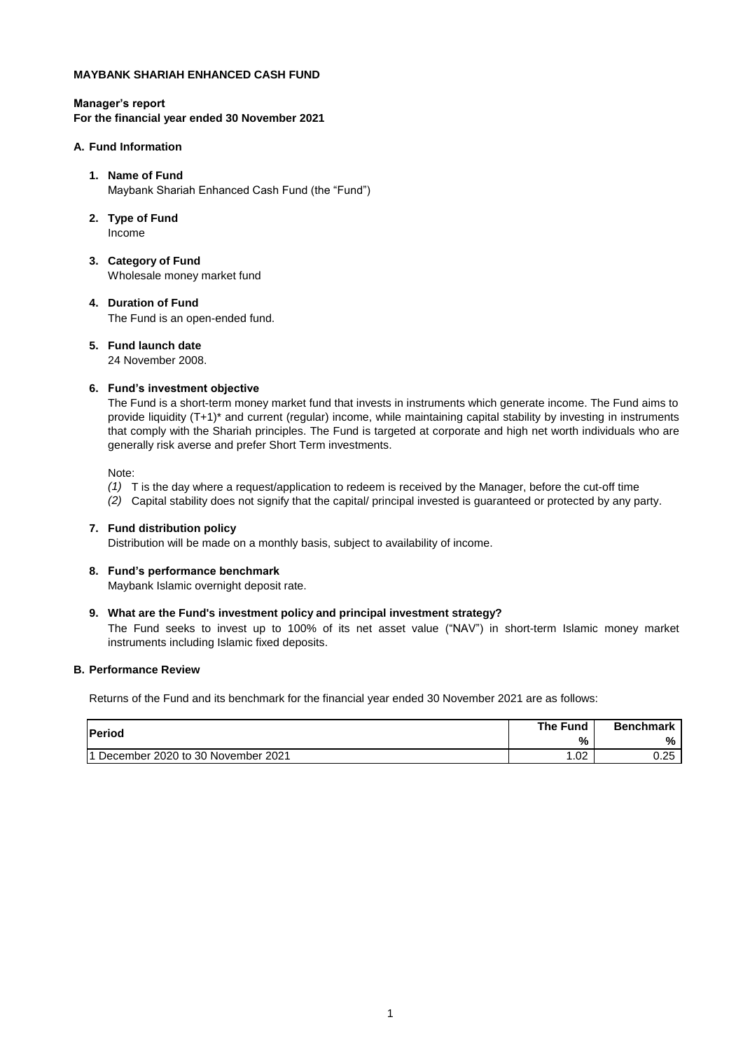#### **Manager's report For the financial year ended 30 November 2021**

#### **A. Fund Information**

#### **1. Name of Fund** Maybank Shariah Enhanced Cash Fund (the "Fund")

- **2. Type of Fund** Income
- **3. Category of Fund** Wholesale money market fund

# **4. Duration of Fund**

The Fund is an open-ended fund.

#### **5. Fund launch date**

24 November 2008.

#### **6. Fund's investment objective**

The Fund is a short-term money market fund that invests in instruments which generate income. The Fund aims to provide liquidity (T+1)\* and current (regular) income, while maintaining capital stability by investing in instruments that comply with the Shariah principles. The Fund is targeted at corporate and high net worth individuals who are generally risk averse and prefer Short Term investments.

Note:

- *(1)* T is the day where a request/application to redeem is received by the Manager, before the cut-off time
- *(2)* Capital stability does not signify that the capital/ principal invested is guaranteed or protected by any party.

#### **7. Fund distribution policy**

Distribution will be made on a monthly basis, subject to availability of income.

# **8. Fund's performance benchmark**

Maybank Islamic overnight deposit rate.

#### **9. What are the Fund's investment policy and principal investment strategy?**

The Fund seeks to invest up to 100% of its net asset value ("NAV") in short-term Islamic money market instruments including Islamic fixed deposits.

#### **B. Performance Review**

Returns of the Fund and its benchmark for the financial year ended 30 November 2021 are as follows:

| <b>Period</b>                        | <b>The Fund</b> | <b>Benchmark</b> |
|--------------------------------------|-----------------|------------------|
|                                      | %               | %                |
| 11 December 2020 to 30 November 2021 | .02             | 0.25             |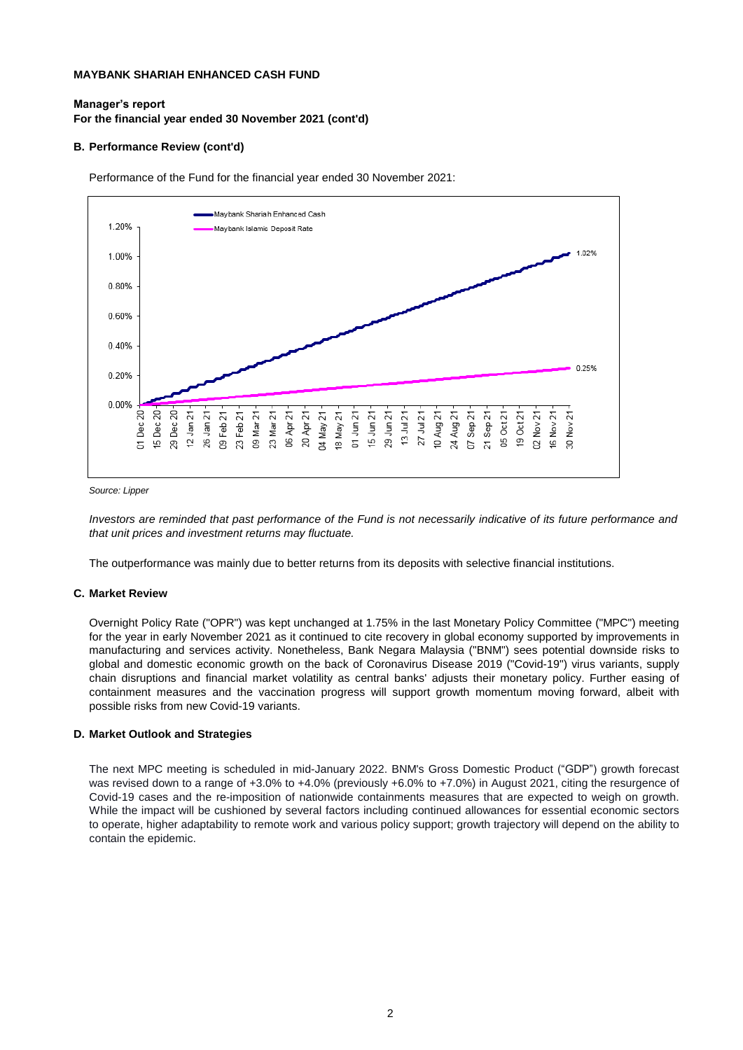#### **Manager's report For the financial year ended 30 November 2021 (cont'd)**

#### **B. Performance Review (cont'd)**

Performance of the Fund for the financial year ended 30 November 2021:



*Source: Lipper* 

Investors are reminded that past performance of the Fund is not necessarily indicative of its future performance and *that unit prices and investment returns may fluctuate.*

The outperformance was mainly due to better returns from its deposits with selective financial institutions.

#### **C. Market Review**

Overnight Policy Rate ("OPR") was kept unchanged at 1.75% in the last Monetary Policy Committee ("MPC") meeting for the year in early November 2021 as it continued to cite recovery in global economy supported by improvements in manufacturing and services activity. Nonetheless, Bank Negara Malaysia ("BNM") sees potential downside risks to global and domestic economic growth on the back of Coronavirus Disease 2019 ("Covid-19") virus variants, supply chain disruptions and financial market volatility as central banks' adjusts their monetary policy. Further easing of containment measures and the vaccination progress will support growth momentum moving forward, albeit with possible risks from new Covid-19 variants.

#### **D. Market Outlook and Strategies**

The next MPC meeting is scheduled in mid-January 2022. BNM's Gross Domestic Product ("GDP") growth forecast was revised down to a range of +3.0% to +4.0% (previously +6.0% to +7.0%) in August 2021, citing the resurgence of Covid-19 cases and the re-imposition of nationwide containments measures that are expected to weigh on growth. While the impact will be cushioned by several factors including continued allowances for essential economic sectors to operate, higher adaptability to remote work and various policy support; growth trajectory will depend on the ability to contain the epidemic.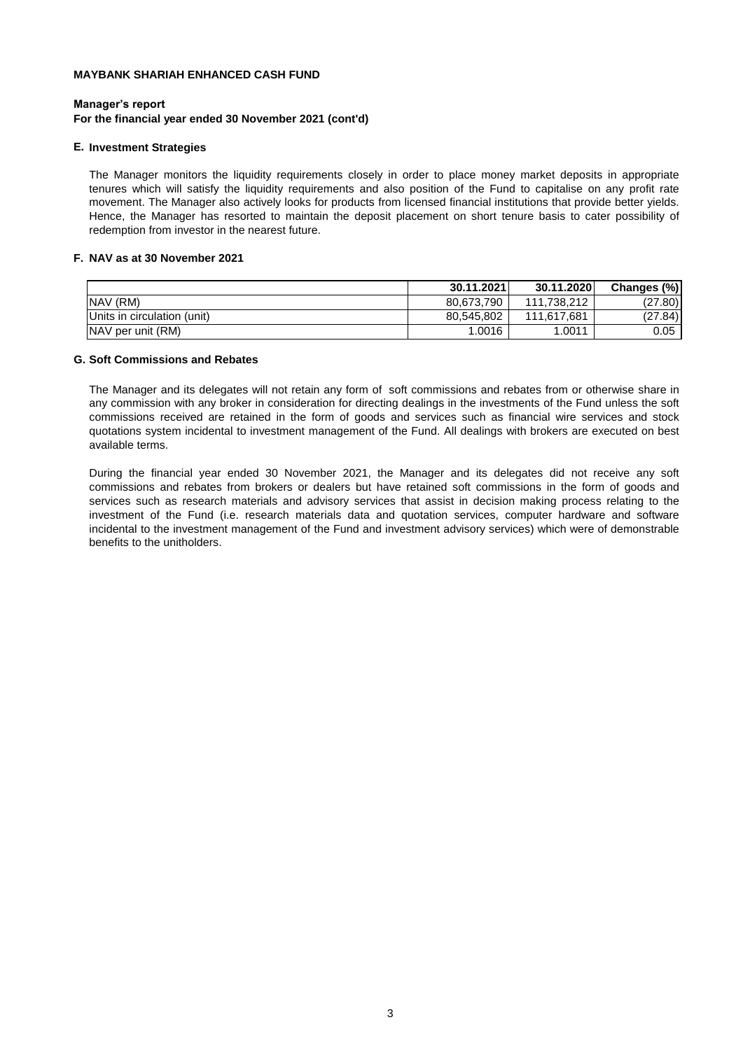#### **Manager's report**

#### **For the financial year ended 30 November 2021 (cont'd)**

#### **E. Investment Strategies**

The Manager monitors the liquidity requirements closely in order to place money market deposits in appropriate tenures which will satisfy the liquidity requirements and also position of the Fund to capitalise on any profit rate movement. The Manager also actively looks for products from licensed financial institutions that provide better yields. Hence, the Manager has resorted to maintain the deposit placement on short tenure basis to cater possibility of redemption from investor in the nearest future.

#### **F. NAV as at 30 November 2021**

|                             | 30.11.2021 | 30.11.2020  | <b>Changes</b><br>$(\% )$ |
|-----------------------------|------------|-------------|---------------------------|
| NAV (RM)                    | 80.673.790 | 111.738.212 | (27.80)                   |
| Units in circulation (unit) | 80,545,802 | 111,617,681 | (27.84)                   |
| NAV per unit (RM)           | 1.0016     | .0011       | 0.05                      |

#### **G. Soft Commissions and Rebates**

The Manager and its delegates will not retain any form of soft commissions and rebates from or otherwise share in any commission with any broker in consideration for directing dealings in the investments of the Fund unless the soft commissions received are retained in the form of goods and services such as financial wire services and stock quotations system incidental to investment management of the Fund. All dealings with brokers are executed on best available terms.

During the financial year ended 30 November 2021, the Manager and its delegates did not receive any soft commissions and rebates from brokers or dealers but have retained soft commissions in the form of goods and services such as research materials and advisory services that assist in decision making process relating to the investment of the Fund (i.e. research materials data and quotation services, computer hardware and software incidental to the investment management of the Fund and investment advisory services) which were of demonstrable benefits to the unitholders.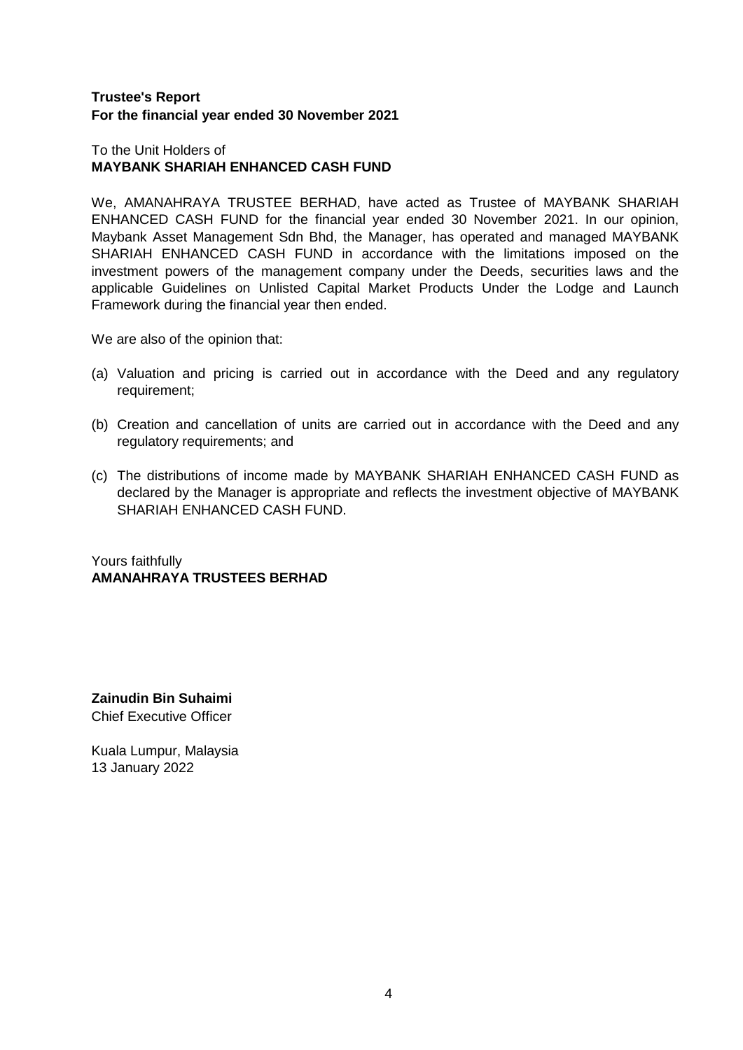# **Trustee's Report For the financial year ended 30 November 2021**

## To the Unit Holders of **MAYBANK SHARIAH ENHANCED CASH FUND**

We, AMANAHRAYA TRUSTEE BERHAD, have acted as Trustee of MAYBANK SHARIAH ENHANCED CASH FUND for the financial year ended 30 November 2021. In our opinion, Maybank Asset Management Sdn Bhd, the Manager, has operated and managed MAYBANK SHARIAH ENHANCED CASH FUND in accordance with the limitations imposed on the investment powers of the management company under the Deeds, securities laws and the applicable Guidelines on Unlisted Capital Market Products Under the Lodge and Launch Framework during the financial year then ended.

We are also of the opinion that:

- (a) Valuation and pricing is carried out in accordance with the Deed and any regulatory requirement;
- (b) Creation and cancellation of units are carried out in accordance with the Deed and any regulatory requirements; and
- (c) The distributions of income made by MAYBANK SHARIAH ENHANCED CASH FUND as declared by the Manager is appropriate and reflects the investment objective of MAYBANK SHARIAH ENHANCED CASH FUND.

Yours faithfully **AMANAHRAYA TRUSTEES BERHAD**

**Zainudin Bin Suhaimi**  Chief Executive Officer

Kuala Lumpur, Malaysia 13 January 2022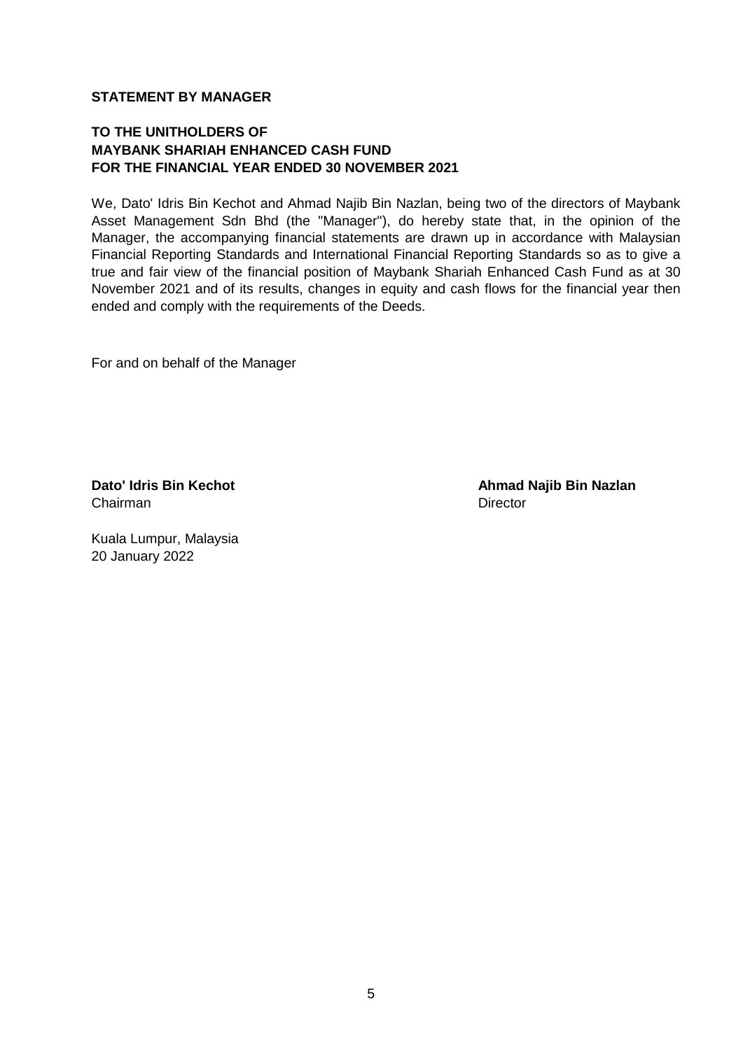## **STATEMENT BY MANAGER**

# **TO THE UNITHOLDERS OF MAYBANK SHARIAH ENHANCED CASH FUND FOR THE FINANCIAL YEAR ENDED 30 NOVEMBER 2021**

We, Dato' Idris Bin Kechot and Ahmad Najib Bin Nazlan, being two of the directors of Maybank Asset Management Sdn Bhd (the "Manager"), do hereby state that, in the opinion of the Manager, the accompanying financial statements are drawn up in accordance with Malaysian Financial Reporting Standards and International Financial Reporting Standards so as to give a true and fair view of the financial position of Maybank Shariah Enhanced Cash Fund as at 30 November 2021 and of its results, changes in equity and cash flows for the financial year then ended and comply with the requirements of the Deeds.

For and on behalf of the Manager

Chairman Director

**Dato' Idris Bin Kechot Ahmad Najib Bin Nazlan** 

Kuala Lumpur, Malaysia 20 January 2022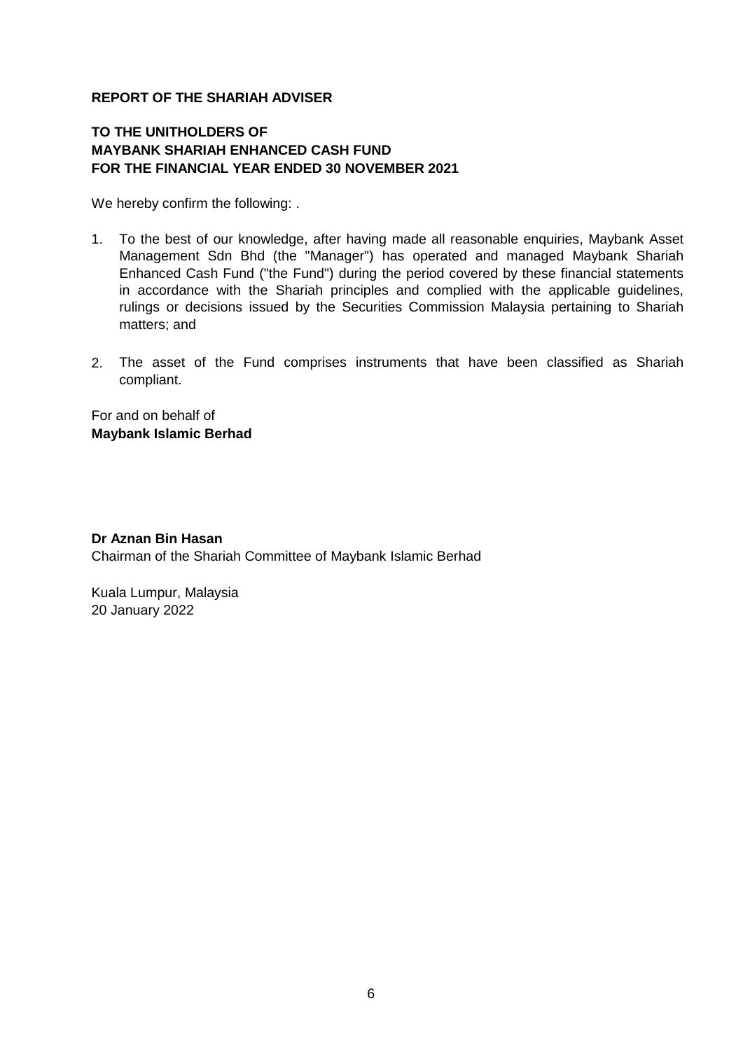# **REPORT OF THE SHARIAH ADVISER**

# **TO THE UNITHOLDERS OF MAYBANK SHARIAH ENHANCED CASH FUND FOR THE FINANCIAL YEAR ENDED 30 NOVEMBER 2021**

We hereby confirm the following: .

- 1. To the best of our knowledge, after having made all reasonable enquiries, Maybank Asset Management Sdn Bhd (the "Manager") has operated and managed Maybank Shariah Enhanced Cash Fund ("the Fund") during the period covered by these financial statements in accordance with the Shariah principles and complied with the applicable guidelines, rulings or decisions issued by the Securities Commission Malaysia pertaining to Shariah matters; and
- 2. The asset of the Fund comprises instruments that have been classified as Shariah compliant.

For and on behalf of **Maybank Islamic Berhad**

# **Dr Aznan Bin Hasan**

Chairman of the Shariah Committee of Maybank Islamic Berhad

Kuala Lumpur, Malaysia 20 January 2022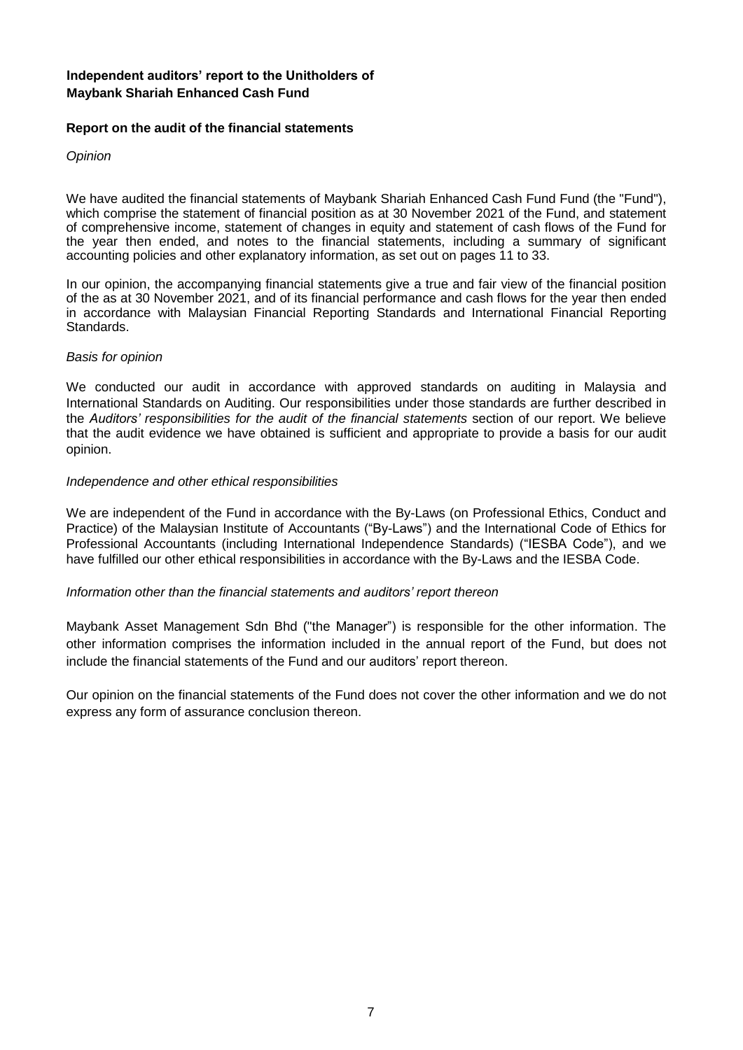#### **Independent auditors' report to the Unitholders of Maybank Shariah Enhanced Cash Fund**

#### **Report on the audit of the financial statements**

*Opinion*

We have audited the financial statements of Maybank Shariah Enhanced Cash Fund Fund (the "Fund"), which comprise the statement of financial position as at 30 November 2021 of the Fund, and statement of comprehensive income, statement of changes in equity and statement of cash flows of the Fund for the year then ended, and notes to the financial statements, including a summary of significant accounting policies and other explanatory information, as set out on pages 11 to 33.

In our opinion, the accompanying financial statements give a true and fair view of the financial position of the as at 30 November 2021, and of its financial performance and cash flows for the year then ended in accordance with Malaysian Financial Reporting Standards and International Financial Reporting Standards.

#### *Basis for opinion*

We conducted our audit in accordance with approved standards on auditing in Malaysia and International Standards on Auditing. Our responsibilities under those standards are further described in the *Auditors' responsibilities for the audit of the financial statements* section of our report. We believe that the audit evidence we have obtained is sufficient and appropriate to provide a basis for our audit opinion.

#### *Independence and other ethical responsibilities*

We are independent of the Fund in accordance with the By-Laws (on Professional Ethics, Conduct and Practice) of the Malaysian Institute of Accountants ("By-Laws") and the International Code of Ethics for Professional Accountants (including International Independence Standards) ("IESBA Code"), and we have fulfilled our other ethical responsibilities in accordance with the By-Laws and the IESBA Code.

#### *Information other than the financial statements and auditors' report thereon*

Maybank Asset Management Sdn Bhd ("the Manager") is responsible for the other information. The other information comprises the information included in the annual report of the Fund, but does not include the financial statements of the Fund and our auditors' report thereon.

Our opinion on the financial statements of the Fund does not cover the other information and we do not express any form of assurance conclusion thereon.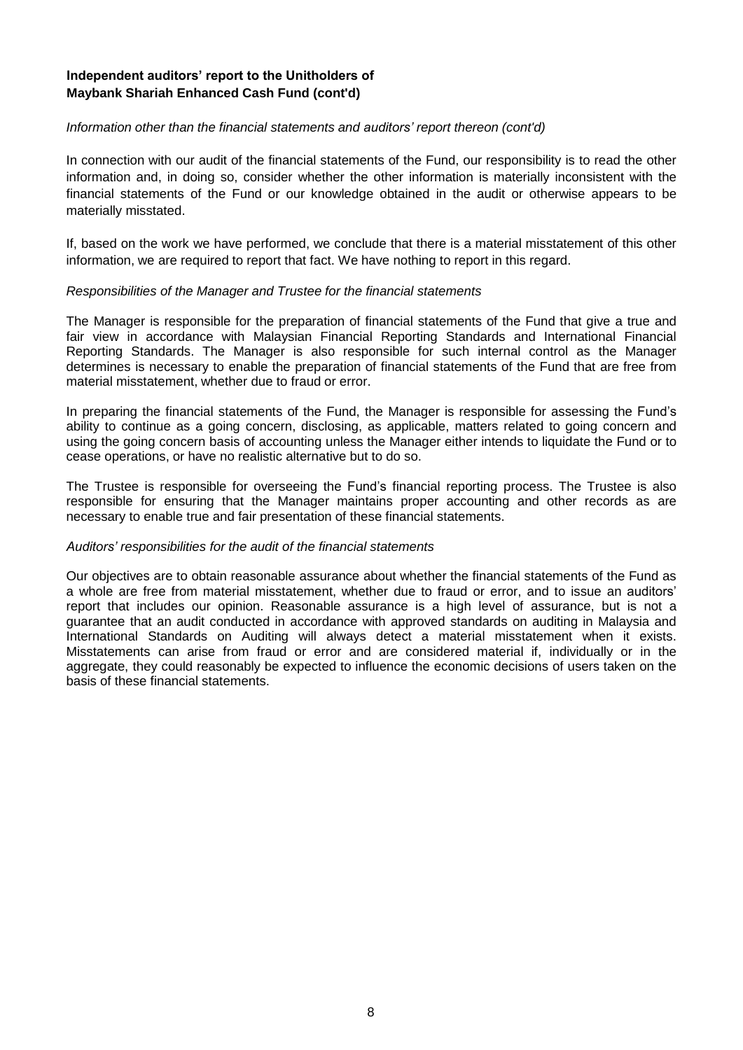#### **Independent auditors' report to the Unitholders of Maybank Shariah Enhanced Cash Fund (cont'd)**

#### *Information other than the financial statements and auditors' report thereon (cont'd)*

In connection with our audit of the financial statements of the Fund, our responsibility is to read the other information and, in doing so, consider whether the other information is materially inconsistent with the financial statements of the Fund or our knowledge obtained in the audit or otherwise appears to be materially misstated.

If, based on the work we have performed, we conclude that there is a material misstatement of this other information, we are required to report that fact. We have nothing to report in this regard.

#### *Responsibilities of the Manager and Trustee for the financial statements*

The Manager is responsible for the preparation of financial statements of the Fund that give a true and fair view in accordance with Malaysian Financial Reporting Standards and International Financial Reporting Standards. The Manager is also responsible for such internal control as the Manager determines is necessary to enable the preparation of financial statements of the Fund that are free from material misstatement, whether due to fraud or error.

In preparing the financial statements of the Fund, the Manager is responsible for assessing the Fund's ability to continue as a going concern, disclosing, as applicable, matters related to going concern and using the going concern basis of accounting unless the Manager either intends to liquidate the Fund or to cease operations, or have no realistic alternative but to do so.

The Trustee is responsible for overseeing the Fund's financial reporting process. The Trustee is also responsible for ensuring that the Manager maintains proper accounting and other records as are necessary to enable true and fair presentation of these financial statements.

#### *Auditors' responsibilities for the audit of the financial statements*

Our objectives are to obtain reasonable assurance about whether the financial statements of the Fund as a whole are free from material misstatement, whether due to fraud or error, and to issue an auditors' report that includes our opinion. Reasonable assurance is a high level of assurance, but is not a guarantee that an audit conducted in accordance with approved standards on auditing in Malaysia and International Standards on Auditing will always detect a material misstatement when it exists. Misstatements can arise from fraud or error and are considered material if, individually or in the aggregate, they could reasonably be expected to influence the economic decisions of users taken on the basis of these financial statements.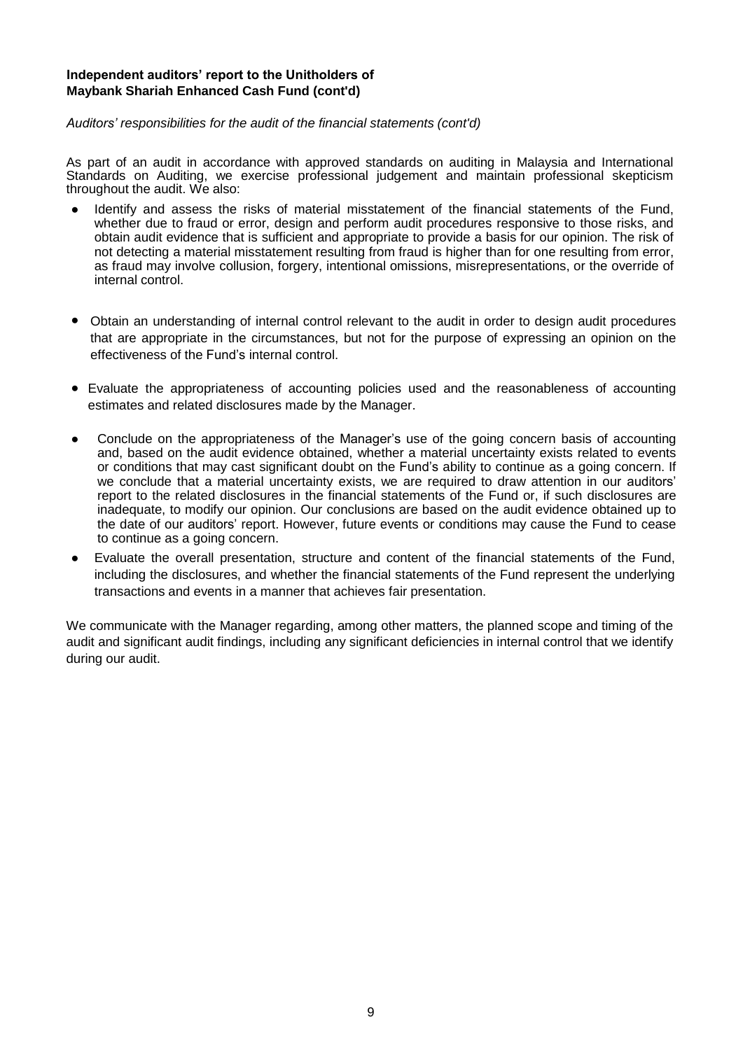#### **Independent auditors' report to the Unitholders of Maybank Shariah Enhanced Cash Fund (cont'd)**

#### *Auditors' responsibilities for the audit of the financial statements (cont'd)*

As part of an audit in accordance with approved standards on auditing in Malaysia and International Standards on Auditing, we exercise professional judgement and maintain professional skepticism throughout the audit. We also:

- Identify and assess the risks of material misstatement of the financial statements of the Fund, whether due to fraud or error, design and perform audit procedures responsive to those risks, and obtain audit evidence that is sufficient and appropriate to provide a basis for our opinion. The risk of not detecting a material misstatement resulting from fraud is higher than for one resulting from error, as fraud may involve collusion, forgery, intentional omissions, misrepresentations, or the override of internal control.
- Obtain an understanding of internal control relevant to the audit in order to design audit procedures that are appropriate in the circumstances, but not for the purpose of expressing an opinion on the effectiveness of the Fund's internal control.
- Evaluate the appropriateness of accounting policies used and the reasonableness of accounting estimates and related disclosures made by the Manager.
- Conclude on the appropriateness of the Manager's use of the going concern basis of accounting and, based on the audit evidence obtained, whether a material uncertainty exists related to events or conditions that may cast significant doubt on the Fund's ability to continue as a going concern. If we conclude that a material uncertainty exists, we are required to draw attention in our auditors' report to the related disclosures in the financial statements of the Fund or, if such disclosures are inadequate, to modify our opinion. Our conclusions are based on the audit evidence obtained up to the date of our auditors' report. However, future events or conditions may cause the Fund to cease to continue as a going concern.
- Evaluate the overall presentation, structure and content of the financial statements of the Fund, including the disclosures, and whether the financial statements of the Fund represent the underlying transactions and events in a manner that achieves fair presentation.

We communicate with the Manager regarding, among other matters, the planned scope and timing of the audit and significant audit findings, including any significant deficiencies in internal control that we identify during our audit.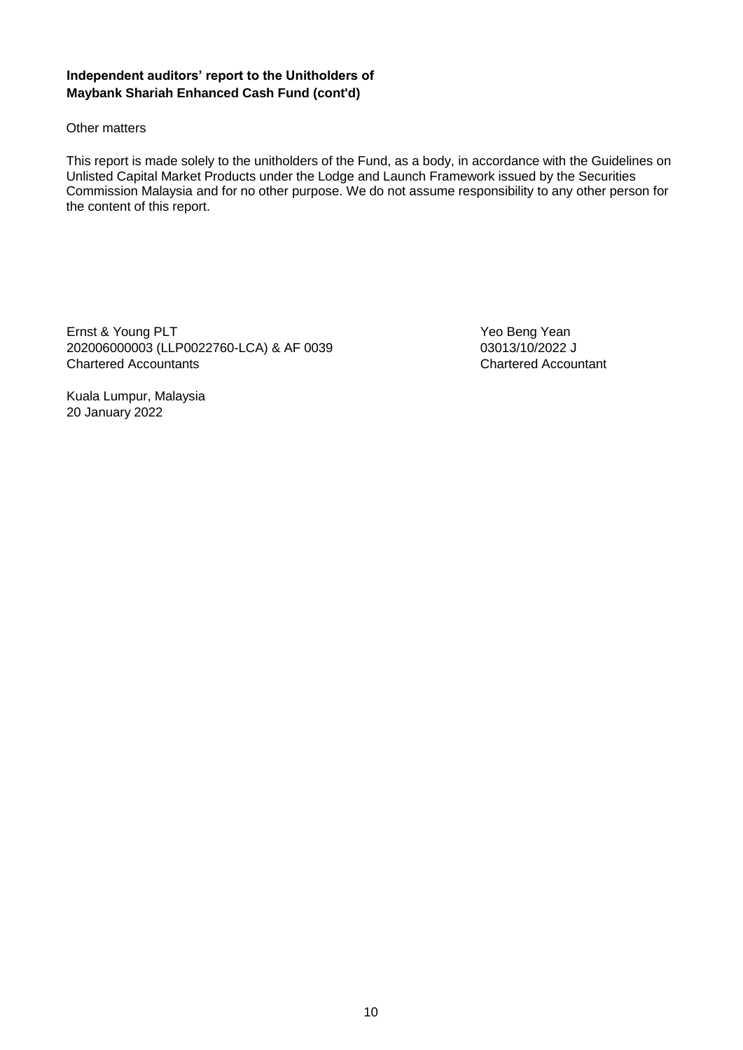#### **Independent auditors' report to the Unitholders of Maybank Shariah Enhanced Cash Fund (cont'd)**

#### Other matters

This report is made solely to the unitholders of the Fund, as a body, in accordance with the Guidelines on Unlisted Capital Market Products under the Lodge and Launch Framework issued by the Securities Commission Malaysia and for no other purpose. We do not assume responsibility to any other person for the content of this report.

Ernst & Young PLT **Fig. 2.1 State State Act 2.1 State State Act 2.1 State Act 2.1 State Act 2.1 State Act 2.1 State Act 2.1 State Act 2.1 State Act 2.1 State Act 2.1 State Act 2.1 State Act 2.1 State Act 2.1 State Act 2.1** 202006000003 (LLP0022760-LCA) & AF 0039 03013/10/2022 J Chartered Accountants Chartered Accountant

Kuala Lumpur, Malaysia 20 January 2022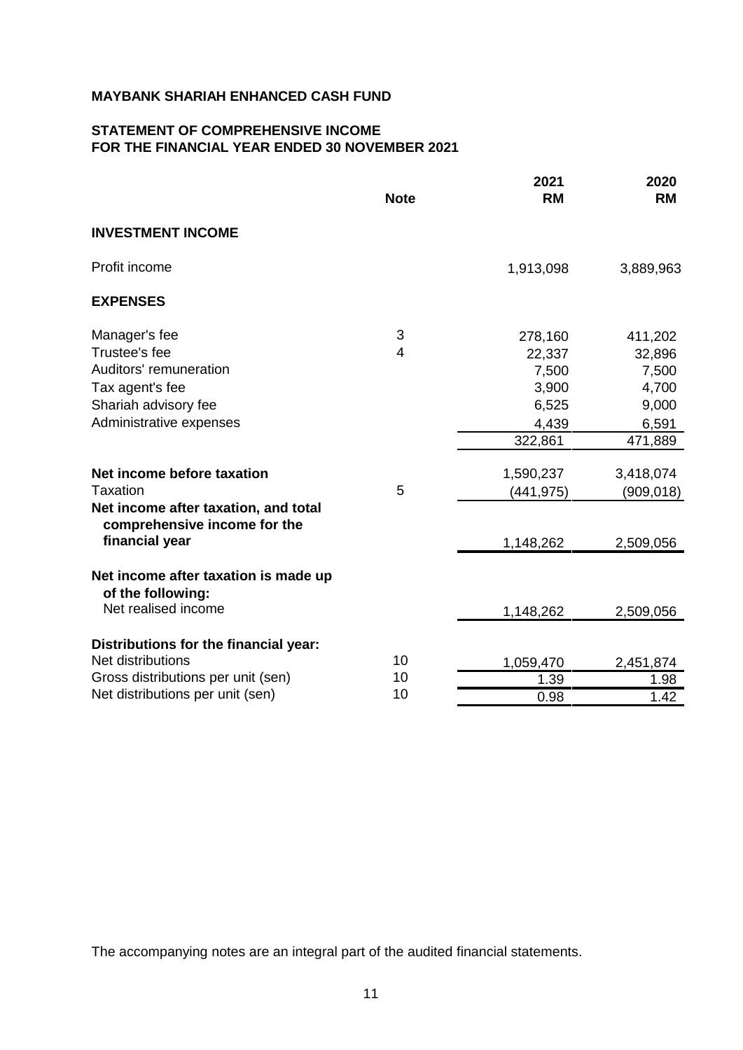# **STATEMENT OF COMPREHENSIVE INCOME FOR THE FINANCIAL YEAR ENDED 30 NOVEMBER 2021**

|                                                                      | <b>Note</b> | 2021<br><b>RM</b> | 2020<br><b>RM</b> |
|----------------------------------------------------------------------|-------------|-------------------|-------------------|
| <b>INVESTMENT INCOME</b>                                             |             |                   |                   |
| Profit income                                                        |             | 1,913,098         | 3,889,963         |
| <b>EXPENSES</b>                                                      |             |                   |                   |
| Manager's fee                                                        | 3           | 278,160           | 411,202           |
| Trustee's fee                                                        | 4           | 22,337            | 32,896            |
| Auditors' remuneration                                               |             | 7,500             | 7,500             |
| Tax agent's fee                                                      |             | 3,900             | 4,700             |
| Shariah advisory fee                                                 |             | 6,525             | 9,000             |
| Administrative expenses                                              |             | 4,439             | 6,591             |
|                                                                      |             | 322,861           | 471,889           |
| Net income before taxation                                           |             | 1,590,237         | 3,418,074         |
| Taxation                                                             | 5           | (441, 975)        | (909, 018)        |
| Net income after taxation, and total<br>comprehensive income for the |             |                   |                   |
| financial year                                                       |             | 1,148,262         | 2,509,056         |
| Net income after taxation is made up<br>of the following:            |             |                   |                   |
| Net realised income                                                  |             | 1,148,262         | 2,509,056         |
|                                                                      |             |                   |                   |
| Distributions for the financial year:<br>Net distributions           | 10          |                   |                   |
| Gross distributions per unit (sen)                                   | 10          | 1,059,470<br>1.39 | 2,451,874         |
| Net distributions per unit (sen)                                     | 10          | 0.98              | 1.98<br>1.42      |
|                                                                      |             |                   |                   |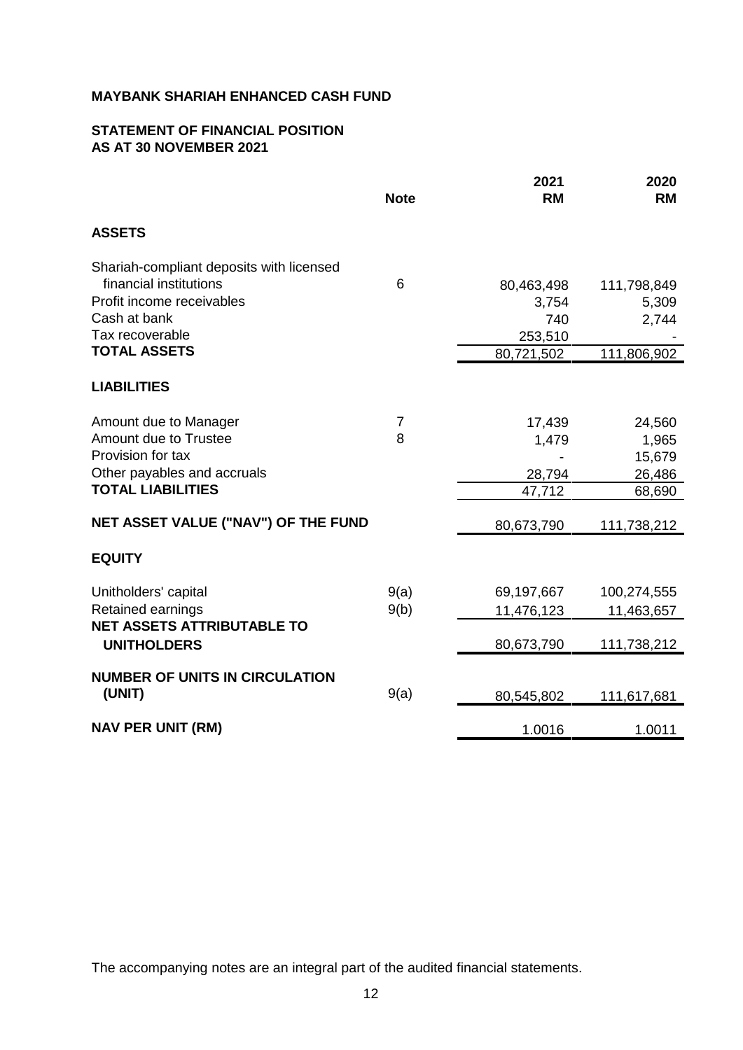# **STATEMENT OF FINANCIAL POSITION AS AT 30 NOVEMBER 2021**

|                                                                                                                                                                                 | <b>Note</b>  | 2021<br><b>RM</b>                                   | 2020<br><b>RM</b>                             |
|---------------------------------------------------------------------------------------------------------------------------------------------------------------------------------|--------------|-----------------------------------------------------|-----------------------------------------------|
| <b>ASSETS</b>                                                                                                                                                                   |              |                                                     |                                               |
| Shariah-compliant deposits with licensed<br>financial institutions<br>Profit income receivables<br>Cash at bank<br>Tax recoverable<br><b>TOTAL ASSETS</b><br><b>LIABILITIES</b> | 6            | 80,463,498<br>3,754<br>740<br>253,510<br>80,721,502 | 111,798,849<br>5,309<br>2,744<br>111,806,902  |
| Amount due to Manager<br>Amount due to Trustee<br>Provision for tax<br>Other payables and accruals<br><b>TOTAL LIABILITIES</b>                                                  | 7<br>8       | 17,439<br>1,479<br>28,794<br>47,712                 | 24,560<br>1,965<br>15,679<br>26,486<br>68,690 |
| NET ASSET VALUE ("NAV") OF THE FUND                                                                                                                                             |              | 80,673,790                                          | 111,738,212                                   |
| <b>EQUITY</b>                                                                                                                                                                   |              |                                                     |                                               |
| Unitholders' capital<br>Retained earnings<br><b>NET ASSETS ATTRIBUTABLE TO</b><br><b>UNITHOLDERS</b>                                                                            | 9(a)<br>9(b) | 69,197,667<br>11,476,123<br>80,673,790              | 100,274,555<br>11,463,657<br>111,738,212      |
| <b>NUMBER OF UNITS IN CIRCULATION</b><br>(UNIT)                                                                                                                                 | 9(a)         | 80,545,802                                          | 111,617,681                                   |
| <b>NAV PER UNIT (RM)</b>                                                                                                                                                        |              | 1.0016                                              | 1.0011                                        |
|                                                                                                                                                                                 |              |                                                     |                                               |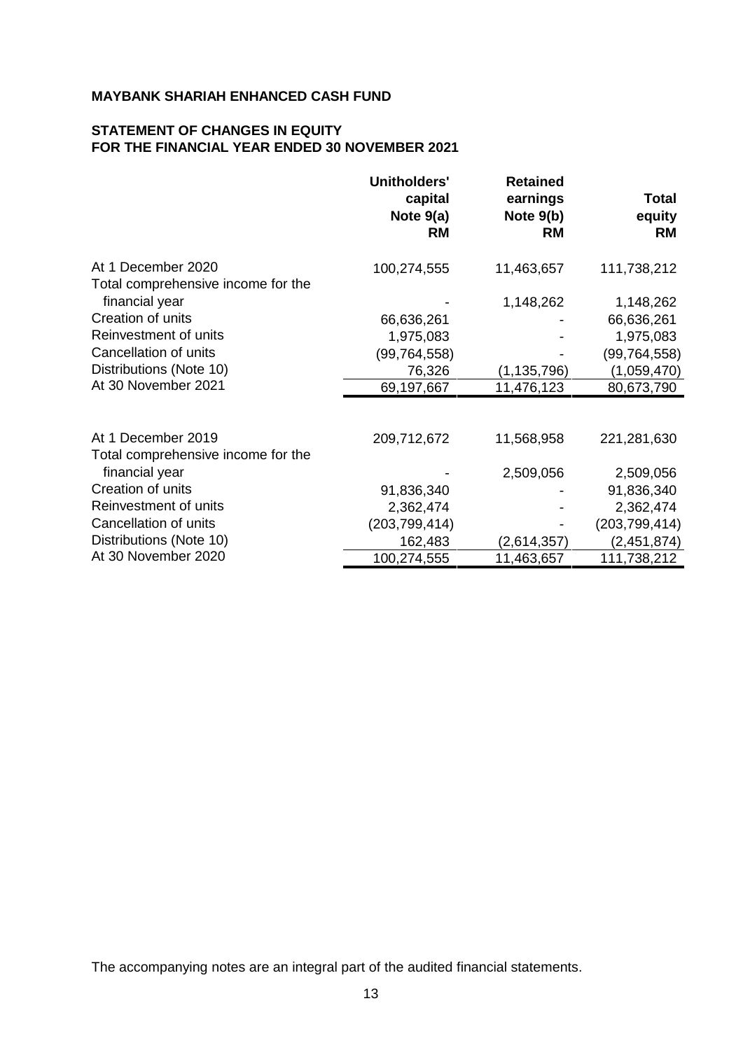# **STATEMENT OF CHANGES IN EQUITY FOR THE FINANCIAL YEAR ENDED 30 NOVEMBER 2021**

|                                    | <b>Unitholders'</b><br>capital<br>Note $9(a)$<br><b>RM</b> | <b>Retained</b><br>earnings<br>Note $9(b)$<br><b>RM</b> | Total<br>equity<br><b>RM</b> |
|------------------------------------|------------------------------------------------------------|---------------------------------------------------------|------------------------------|
| At 1 December 2020                 | 100,274,555                                                | 11,463,657                                              | 111,738,212                  |
| Total comprehensive income for the |                                                            |                                                         |                              |
| financial year                     |                                                            | 1,148,262                                               | 1,148,262                    |
| Creation of units                  | 66,636,261                                                 |                                                         | 66,636,261                   |
| Reinvestment of units              | 1,975,083                                                  |                                                         | 1,975,083                    |
| Cancellation of units              | (99, 764, 558)                                             |                                                         | (99, 764, 558)               |
| Distributions (Note 10)            | 76,326                                                     | (1, 135, 796)                                           | (1,059,470)                  |
| At 30 November 2021                | 69,197,667                                                 | 11,476,123                                              | 80,673,790                   |
|                                    |                                                            |                                                         |                              |
| At 1 December 2019                 | 209,712,672                                                | 11,568,958                                              | 221,281,630                  |
| Total comprehensive income for the |                                                            |                                                         |                              |
| financial year                     |                                                            | 2,509,056                                               | 2,509,056                    |
| Creation of units                  | 91,836,340                                                 |                                                         | 91,836,340                   |
| Reinvestment of units              | 2,362,474                                                  |                                                         | 2,362,474                    |
| Cancellation of units              | (203, 799, 414)                                            |                                                         | (203, 799, 414)              |
| Distributions (Note 10)            | 162,483                                                    | (2,614,357)                                             | (2,451,874)                  |
| At 30 November 2020                | 100,274,555                                                | 11,463,657                                              | 111,738,212                  |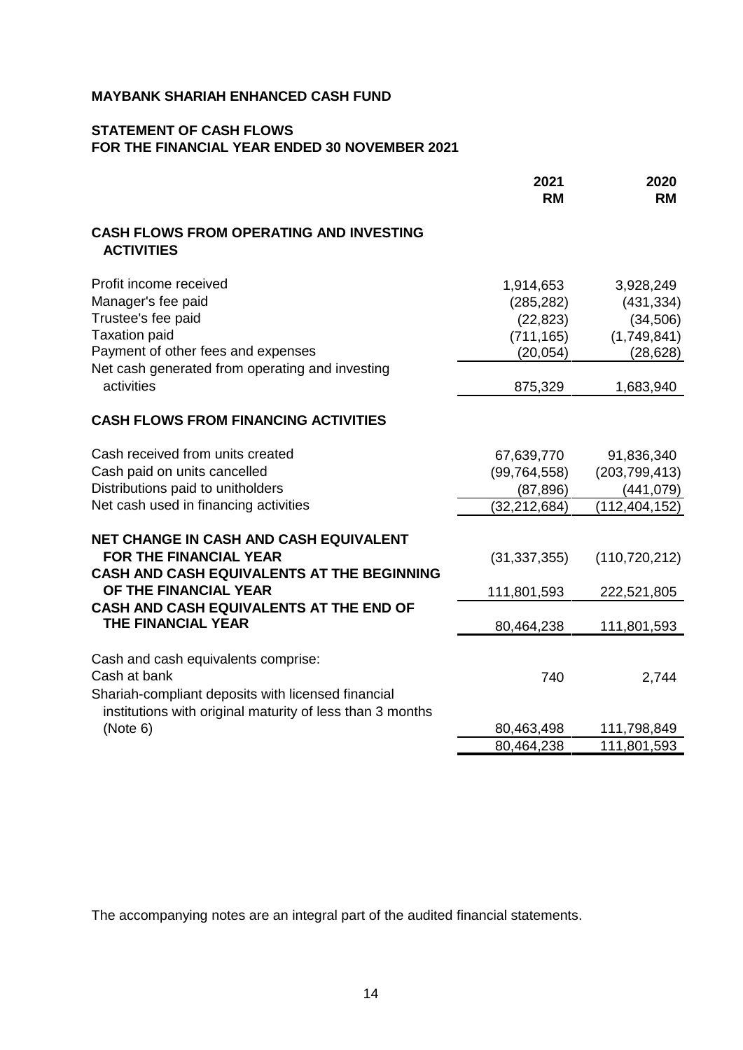# **STATEMENT OF CASH FLOWS FOR THE FINANCIAL YEAR ENDED 30 NOVEMBER 2021**

|                                                                                                                                                                                                         | 2021<br><b>RM</b>                                                          | 2020<br><b>RM</b>                                                             |
|---------------------------------------------------------------------------------------------------------------------------------------------------------------------------------------------------------|----------------------------------------------------------------------------|-------------------------------------------------------------------------------|
| <b>CASH FLOWS FROM OPERATING AND INVESTING</b><br><b>ACTIVITIES</b>                                                                                                                                     |                                                                            |                                                                               |
| Profit income received<br>Manager's fee paid<br>Trustee's fee paid<br><b>Taxation paid</b><br>Payment of other fees and expenses<br>Net cash generated from operating and investing<br>activities       | 1,914,653<br>(285, 282)<br>(22, 823)<br>(711, 165)<br>(20, 054)<br>875,329 | 3,928,249<br>(431, 334)<br>(34, 506)<br>(1,749,841)<br>(28, 628)<br>1,683,940 |
| <b>CASH FLOWS FROM FINANCING ACTIVITIES</b>                                                                                                                                                             |                                                                            |                                                                               |
| Cash received from units created<br>Cash paid on units cancelled<br>Distributions paid to unitholders<br>Net cash used in financing activities                                                          | 67,639,770<br>(99, 764, 558)<br>(87, 896)<br>(32, 212, 684)                | 91,836,340<br>(203, 799, 413)<br>(441,079)<br>(112, 404, 152)                 |
| <b>NET CHANGE IN CASH AND CASH EQUIVALENT</b><br><b>FOR THE FINANCIAL YEAR</b><br><b>CASH AND CASH EQUIVALENTS AT THE BEGINNING</b><br>OF THE FINANCIAL YEAR<br>CASH AND CASH EQUIVALENTS AT THE END OF | (31, 337, 355)<br>111,801,593                                              | (110, 720, 212)<br>222,521,805                                                |
| THE FINANCIAL YEAR                                                                                                                                                                                      | 80,464,238                                                                 | 111,801,593                                                                   |
| Cash and cash equivalents comprise:<br>Cash at bank<br>Shariah-compliant deposits with licensed financial<br>institutions with original maturity of less than 3 months                                  | 740                                                                        | 2,744                                                                         |
| (Note 6)                                                                                                                                                                                                | 80,463,498<br>80,464,238                                                   | 111,798,849<br>111,801,593                                                    |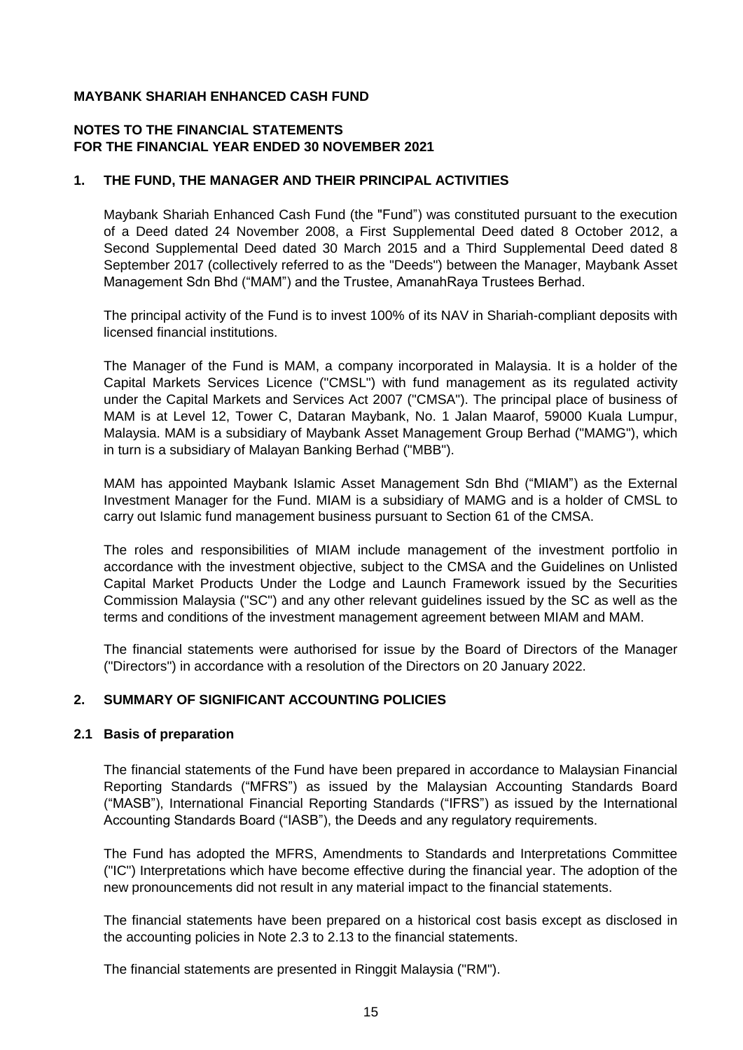## **NOTES TO THE FINANCIAL STATEMENTS FOR THE FINANCIAL YEAR ENDED 30 NOVEMBER 2021**

#### **1. THE FUND, THE MANAGER AND THEIR PRINCIPAL ACTIVITIES**

Maybank Shariah Enhanced Cash Fund (the "Fund") was constituted pursuant to the execution of a Deed dated 24 November 2008, a First Supplemental Deed dated 8 October 2012, a Second Supplemental Deed dated 30 March 2015 and a Third Supplemental Deed dated 8 September 2017 (collectively referred to as the "Deeds") between the Manager, Maybank Asset Management Sdn Bhd ("MAM") and the Trustee, AmanahRaya Trustees Berhad.

The principal activity of the Fund is to invest 100% of its NAV in Shariah-compliant deposits with licensed financial institutions.

The Manager of the Fund is MAM, a company incorporated in Malaysia. It is a holder of the Capital Markets Services Licence ("CMSL") with fund management as its regulated activity under the Capital Markets and Services Act 2007 ("CMSA"). The principal place of business of MAM is at Level 12, Tower C, Dataran Maybank, No. 1 Jalan Maarof, 59000 Kuala Lumpur, Malaysia. MAM is a subsidiary of Maybank Asset Management Group Berhad ("MAMG"), which in turn is a subsidiary of Malayan Banking Berhad ("MBB").

MAM has appointed Maybank Islamic Asset Management Sdn Bhd ("MIAM") as the External Investment Manager for the Fund. MIAM is a subsidiary of MAMG and is a holder of CMSL to carry out Islamic fund management business pursuant to Section 61 of the CMSA.

The roles and responsibilities of MIAM include management of the investment portfolio in accordance with the investment objective, subject to the CMSA and the Guidelines on Unlisted Capital Market Products Under the Lodge and Launch Framework issued by the Securities Commission Malaysia ("SC") and any other relevant guidelines issued by the SC as well as the terms and conditions of the investment management agreement between MIAM and MAM.

The financial statements were authorised for issue by the Board of Directors of the Manager ("Directors") in accordance with a resolution of the Directors on 20 January 2022.

#### **2. SUMMARY OF SIGNIFICANT ACCOUNTING POLICIES**

#### **2.1 Basis of preparation**

The financial statements of the Fund have been prepared in accordance to Malaysian Financial Reporting Standards ("MFRS") as issued by the Malaysian Accounting Standards Board ("MASB"), International Financial Reporting Standards ("IFRS") as issued by the International Accounting Standards Board ("IASB"), the Deeds and any regulatory requirements.

The Fund has adopted the MFRS, Amendments to Standards and Interpretations Committee ("IC") Interpretations which have become effective during the financial year. The adoption of the new pronouncements did not result in any material impact to the financial statements.

The financial statements have been prepared on a historical cost basis except as disclosed in the accounting policies in Note 2.3 to 2.13 to the financial statements.

The financial statements are presented in Ringgit Malaysia ("RM").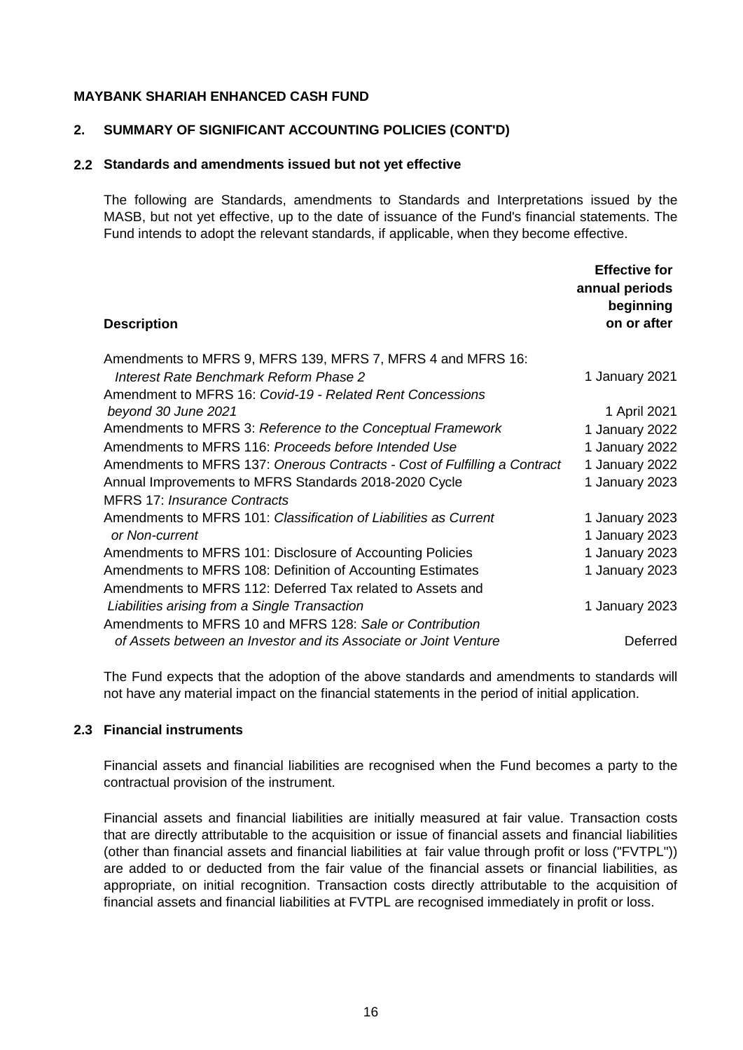#### **2. SUMMARY OF SIGNIFICANT ACCOUNTING POLICIES (CONT'D)**

#### **2.2 Standards and amendments issued but not yet effective**

The following are Standards, amendments to Standards and Interpretations issued by the MASB, but not yet effective, up to the date of issuance of the Fund's financial statements. The Fund intends to adopt the relevant standards, if applicable, when they become effective.

| <b>Description</b>                                                        | <b>Effective for</b><br>annual periods<br>beginning<br>on or after |
|---------------------------------------------------------------------------|--------------------------------------------------------------------|
| Amendments to MFRS 9, MFRS 139, MFRS 7, MFRS 4 and MFRS 16:               |                                                                    |
| Interest Rate Benchmark Reform Phase 2                                    | 1 January 2021                                                     |
| Amendment to MFRS 16: Covid-19 - Related Rent Concessions                 |                                                                    |
| beyond 30 June 2021                                                       | 1 April 2021                                                       |
| Amendments to MFRS 3: Reference to the Conceptual Framework               | 1 January 2022                                                     |
| Amendments to MFRS 116: Proceeds before Intended Use                      | 1 January 2022                                                     |
| Amendments to MFRS 137: Onerous Contracts - Cost of Fulfilling a Contract | 1 January 2022                                                     |
| Annual Improvements to MFRS Standards 2018-2020 Cycle                     | 1 January 2023                                                     |
| <b>MFRS 17: Insurance Contracts</b>                                       |                                                                    |
| Amendments to MFRS 101: Classification of Liabilities as Current          | 1 January 2023                                                     |
| or Non-current                                                            | 1 January 2023                                                     |
| Amendments to MFRS 101: Disclosure of Accounting Policies                 | 1 January 2023                                                     |
| Amendments to MFRS 108: Definition of Accounting Estimates                | 1 January 2023                                                     |
| Amendments to MFRS 112: Deferred Tax related to Assets and                |                                                                    |
| Liabilities arising from a Single Transaction                             | 1 January 2023                                                     |
| Amendments to MFRS 10 and MFRS 128: Sale or Contribution                  |                                                                    |
| of Assets between an Investor and its Associate or Joint Venture          | Deferred                                                           |

The Fund expects that the adoption of the above standards and amendments to standards will not have any material impact on the financial statements in the period of initial application.

## **2.3 Financial instruments**

Financial assets and financial liabilities are recognised when the Fund becomes a party to the contractual provision of the instrument.

Financial assets and financial liabilities are initially measured at fair value. Transaction costs that are directly attributable to the acquisition or issue of financial assets and financial liabilities (other than financial assets and financial liabilities at fair value through profit or loss ("FVTPL")) are added to or deducted from the fair value of the financial assets or financial liabilities, as appropriate, on initial recognition. Transaction costs directly attributable to the acquisition of financial assets and financial liabilities at FVTPL are recognised immediately in profit or loss.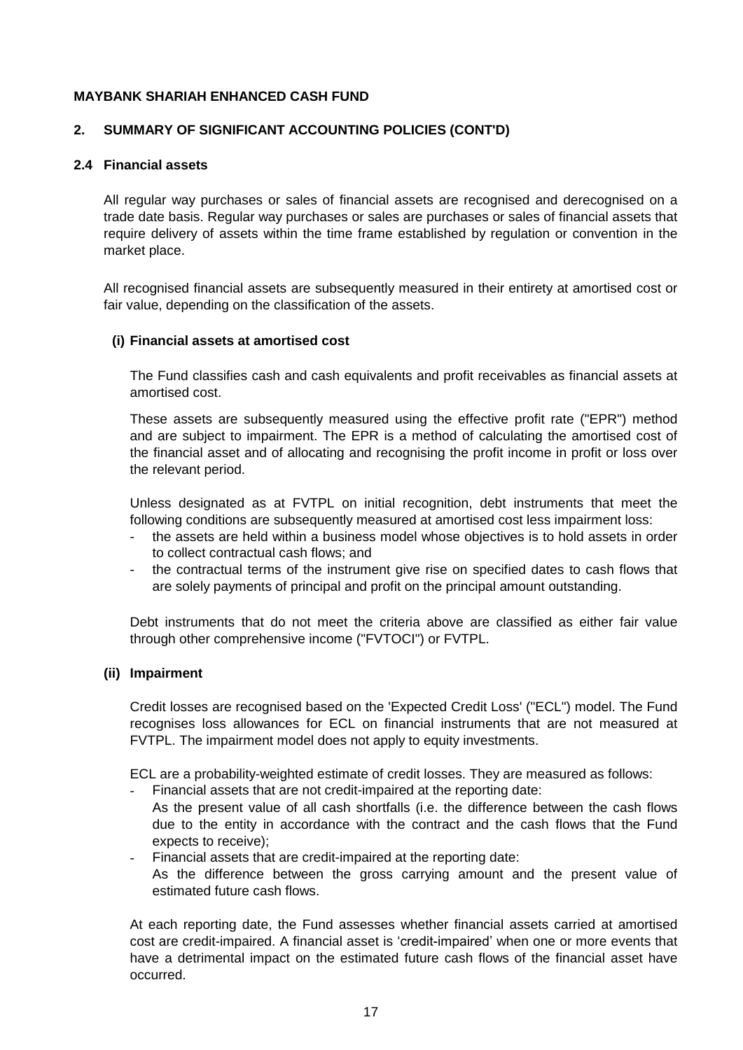## **2. SUMMARY OF SIGNIFICANT ACCOUNTING POLICIES (CONT'D)**

#### **2.4 Financial assets**

All regular way purchases or sales of financial assets are recognised and derecognised on a trade date basis. Regular way purchases or sales are purchases or sales of financial assets that require delivery of assets within the time frame established by regulation or convention in the market place.

All recognised financial assets are subsequently measured in their entirety at amortised cost or fair value, depending on the classification of the assets.

#### **(i) Financial assets at amortised cost**

The Fund classifies cash and cash equivalents and profit receivables as financial assets at amortised cost.

These assets are subsequently measured using the effective profit rate ("EPR") method and are subject to impairment. The EPR is a method of calculating the amortised cost of the financial asset and of allocating and recognising the profit income in profit or loss over the relevant period.

Unless designated as at FVTPL on initial recognition, debt instruments that meet the following conditions are subsequently measured at amortised cost less impairment loss:

- the assets are held within a business model whose objectives is to hold assets in order to collect contractual cash flows; and
- the contractual terms of the instrument give rise on specified dates to cash flows that are solely payments of principal and profit on the principal amount outstanding.

Debt instruments that do not meet the criteria above are classified as either fair value through other comprehensive income ("FVTOCI") or FVTPL.

## **(ii) Impairment**

Credit losses are recognised based on the 'Expected Credit Loss' ("ECL") model. The Fund recognises loss allowances for ECL on financial instruments that are not measured at FVTPL. The impairment model does not apply to equity investments.

ECL are a probability-weighted estimate of credit losses. They are measured as follows:

- Financial assets that are not credit-impaired at the reporting date:
- As the present value of all cash shortfalls (i.e. the difference between the cash flows due to the entity in accordance with the contract and the cash flows that the Fund expects to receive);
- Financial assets that are credit-impaired at the reporting date:
- As the difference between the gross carrying amount and the present value of estimated future cash flows.

At each reporting date, the Fund assesses whether financial assets carried at amortised cost are credit-impaired. A financial asset is 'credit-impaired' when one or more events that have a detrimental impact on the estimated future cash flows of the financial asset have occurred.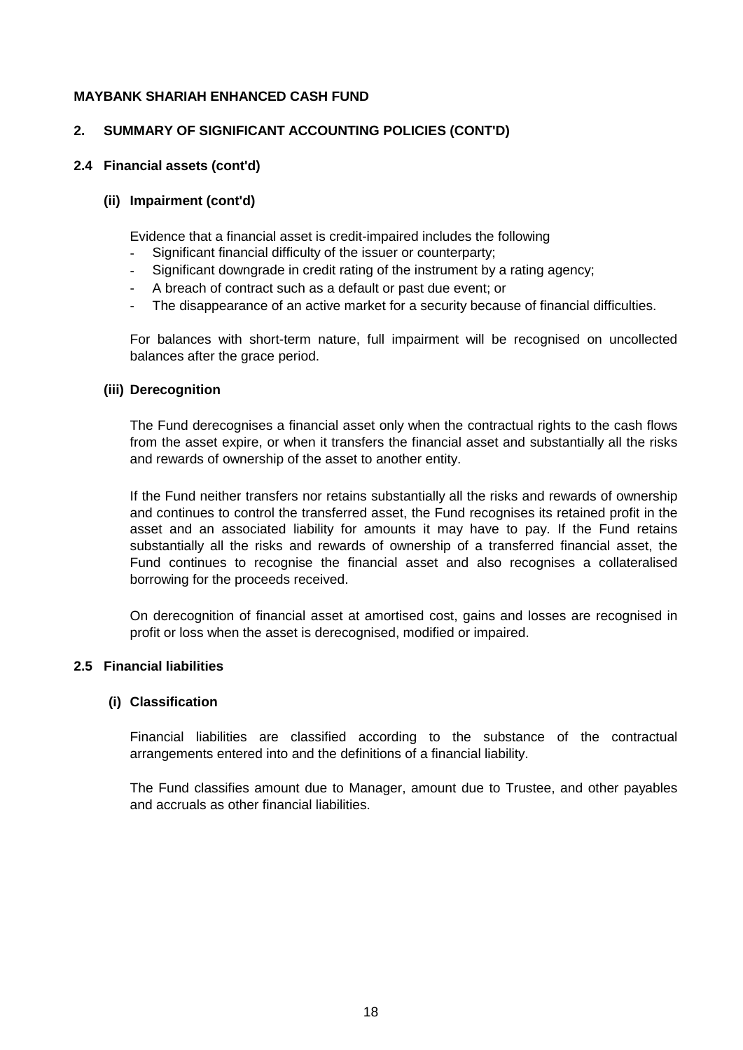#### **2. SUMMARY OF SIGNIFICANT ACCOUNTING POLICIES (CONT'D)**

#### **2.4 Financial assets (cont'd)**

#### **(ii) Impairment (cont'd)**

Evidence that a financial asset is credit-impaired includes the following

- Significant financial difficulty of the issuer or counterparty;
- Significant downgrade in credit rating of the instrument by a rating agency;
- A breach of contract such as a default or past due event; or
- The disappearance of an active market for a security because of financial difficulties.

For balances with short-term nature, full impairment will be recognised on uncollected balances after the grace period.

#### **(iii) Derecognition**

The Fund derecognises a financial asset only when the contractual rights to the cash flows from the asset expire, or when it transfers the financial asset and substantially all the risks and rewards of ownership of the asset to another entity.

If the Fund neither transfers nor retains substantially all the risks and rewards of ownership and continues to control the transferred asset, the Fund recognises its retained profit in the asset and an associated liability for amounts it may have to pay. If the Fund retains substantially all the risks and rewards of ownership of a transferred financial asset, the Fund continues to recognise the financial asset and also recognises a collateralised borrowing for the proceeds received.

On derecognition of financial asset at amortised cost, gains and losses are recognised in profit or loss when the asset is derecognised, modified or impaired.

#### **2.5 Financial liabilities**

#### **(i) Classification**

Financial liabilities are classified according to the substance of the contractual arrangements entered into and the definitions of a financial liability.

The Fund classifies amount due to Manager, amount due to Trustee, and other payables and accruals as other financial liabilities.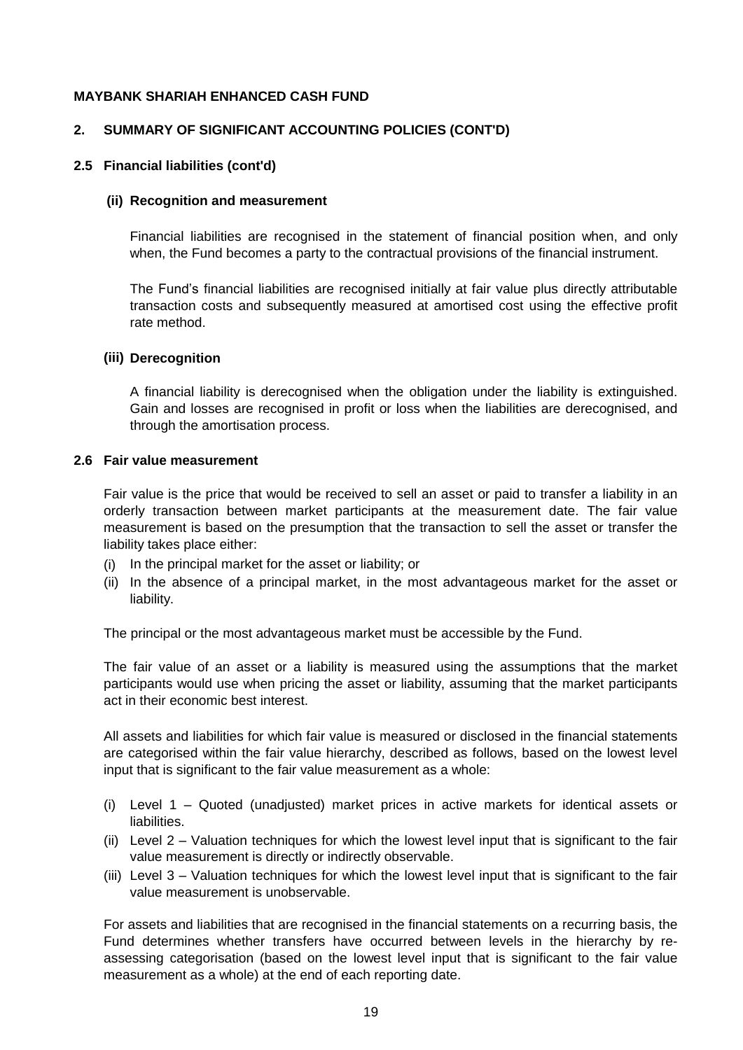## **2. SUMMARY OF SIGNIFICANT ACCOUNTING POLICIES (CONT'D)**

#### **2.5 Financial liabilities (cont'd)**

#### **(ii) Recognition and measurement**

Financial liabilities are recognised in the statement of financial position when, and only when, the Fund becomes a party to the contractual provisions of the financial instrument.

The Fund's financial liabilities are recognised initially at fair value plus directly attributable transaction costs and subsequently measured at amortised cost using the effective profit rate method.

#### **(iii) Derecognition**

A financial liability is derecognised when the obligation under the liability is extinguished. Gain and losses are recognised in profit or loss when the liabilities are derecognised, and through the amortisation process.

#### **2.6 Fair value measurement**

Fair value is the price that would be received to sell an asset or paid to transfer a liability in an orderly transaction between market participants at the measurement date. The fair value measurement is based on the presumption that the transaction to sell the asset or transfer the liability takes place either:

- (i) In the principal market for the asset or liability; or
- (ii) In the absence of a principal market, in the most advantageous market for the asset or liability.

The principal or the most advantageous market must be accessible by the Fund.

The fair value of an asset or a liability is measured using the assumptions that the market participants would use when pricing the asset or liability, assuming that the market participants act in their economic best interest.

All assets and liabilities for which fair value is measured or disclosed in the financial statements are categorised within the fair value hierarchy, described as follows, based on the lowest level input that is significant to the fair value measurement as a whole:

- (i) Level 1 Quoted (unadjusted) market prices in active markets for identical assets or liabilities.
- (ii) Level 2 Valuation techniques for which the lowest level input that is significant to the fair value measurement is directly or indirectly observable.
- (iii) Level 3 Valuation techniques for which the lowest level input that is significant to the fair value measurement is unobservable.

For assets and liabilities that are recognised in the financial statements on a recurring basis, the Fund determines whether transfers have occurred between levels in the hierarchy by reassessing categorisation (based on the lowest level input that is significant to the fair value measurement as a whole) at the end of each reporting date.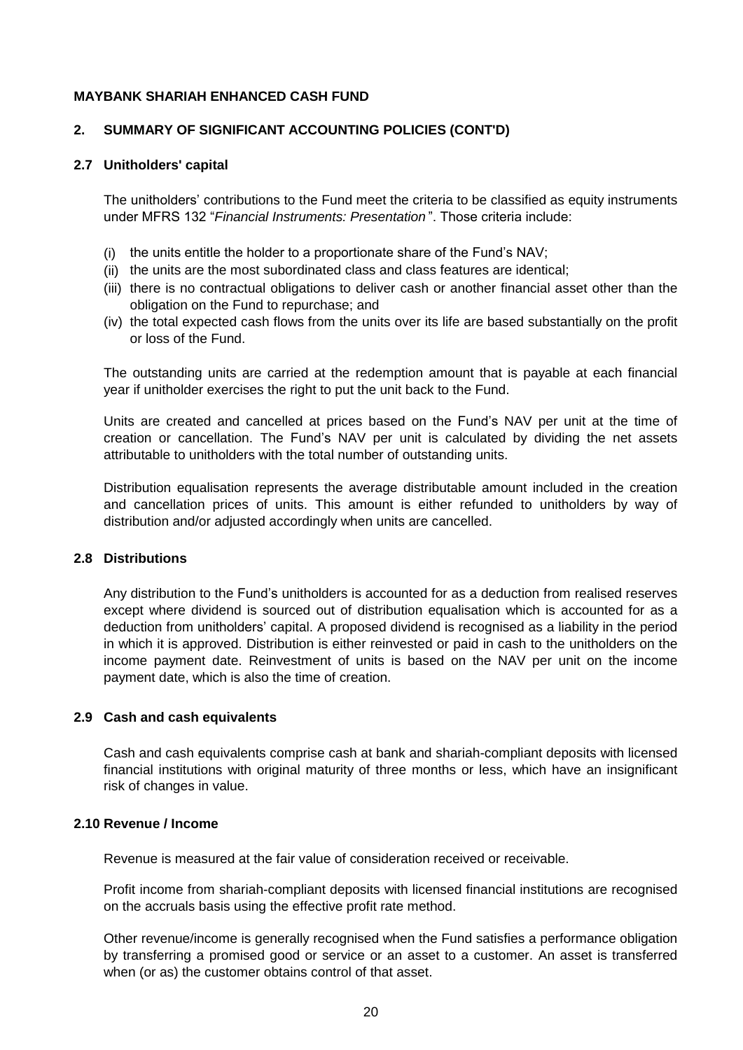## **2. SUMMARY OF SIGNIFICANT ACCOUNTING POLICIES (CONT'D)**

#### **2.7 Unitholders' capital**

The unitholders' contributions to the Fund meet the criteria to be classified as equity instruments under MFRS 132 "*Financial Instruments: Presentation* ". Those criteria include:

- (i) the units entitle the holder to a proportionate share of the Fund's NAV;
- (ii) the units are the most subordinated class and class features are identical;
- (iii) there is no contractual obligations to deliver cash or another financial asset other than the obligation on the Fund to repurchase; and
- (iv) the total expected cash flows from the units over its life are based substantially on the profit or loss of the Fund.

The outstanding units are carried at the redemption amount that is payable at each financial year if unitholder exercises the right to put the unit back to the Fund.

Units are created and cancelled at prices based on the Fund's NAV per unit at the time of creation or cancellation. The Fund's NAV per unit is calculated by dividing the net assets attributable to unitholders with the total number of outstanding units.

Distribution equalisation represents the average distributable amount included in the creation and cancellation prices of units. This amount is either refunded to unitholders by way of distribution and/or adjusted accordingly when units are cancelled.

#### **2.8 Distributions**

Any distribution to the Fund's unitholders is accounted for as a deduction from realised reserves except where dividend is sourced out of distribution equalisation which is accounted for as a deduction from unitholders' capital. A proposed dividend is recognised as a liability in the period in which it is approved. Distribution is either reinvested or paid in cash to the unitholders on the income payment date. Reinvestment of units is based on the NAV per unit on the income payment date, which is also the time of creation.

#### **2.9 Cash and cash equivalents**

Cash and cash equivalents comprise cash at bank and shariah-compliant deposits with licensed financial institutions with original maturity of three months or less, which have an insignificant risk of changes in value.

#### **2.10 Revenue / Income**

Revenue is measured at the fair value of consideration received or receivable.

Profit income from shariah-compliant deposits with licensed financial institutions are recognised on the accruals basis using the effective profit rate method.

Other revenue/income is generally recognised when the Fund satisfies a performance obligation by transferring a promised good or service or an asset to a customer. An asset is transferred when (or as) the customer obtains control of that asset.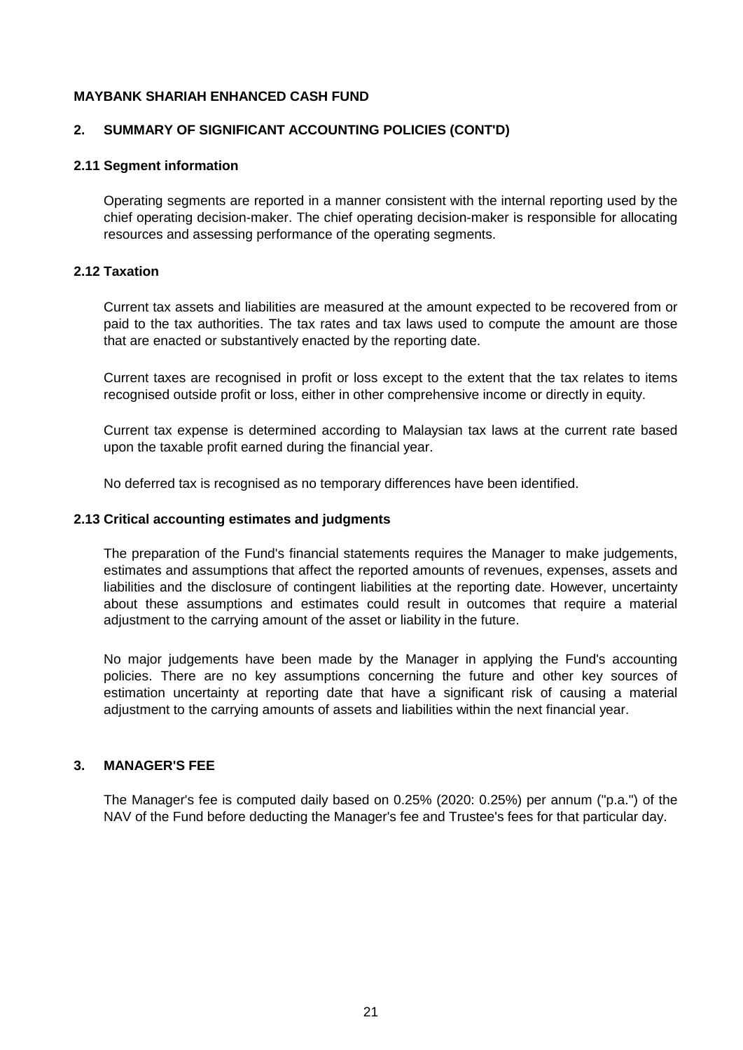#### **2. SUMMARY OF SIGNIFICANT ACCOUNTING POLICIES (CONT'D)**

#### **2.11 Segment information**

Operating segments are reported in a manner consistent with the internal reporting used by the chief operating decision-maker. The chief operating decision-maker is responsible for allocating resources and assessing performance of the operating segments.

## **2.12 Taxation**

Current tax assets and liabilities are measured at the amount expected to be recovered from or paid to the tax authorities. The tax rates and tax laws used to compute the amount are those that are enacted or substantively enacted by the reporting date.

Current taxes are recognised in profit or loss except to the extent that the tax relates to items recognised outside profit or loss, either in other comprehensive income or directly in equity.

Current tax expense is determined according to Malaysian tax laws at the current rate based upon the taxable profit earned during the financial year.

No deferred tax is recognised as no temporary differences have been identified.

#### **2.13 Critical accounting estimates and judgments**

The preparation of the Fund's financial statements requires the Manager to make judgements, estimates and assumptions that affect the reported amounts of revenues, expenses, assets and liabilities and the disclosure of contingent liabilities at the reporting date. However, uncertainty about these assumptions and estimates could result in outcomes that require a material adjustment to the carrying amount of the asset or liability in the future.

No major judgements have been made by the Manager in applying the Fund's accounting policies. There are no key assumptions concerning the future and other key sources of estimation uncertainty at reporting date that have a significant risk of causing a material adjustment to the carrying amounts of assets and liabilities within the next financial year.

## **3. MANAGER'S FEE**

The Manager's fee is computed daily based on 0.25% (2020: 0.25%) per annum ("p.a.") of the NAV of the Fund before deducting the Manager's fee and Trustee's fees for that particular day.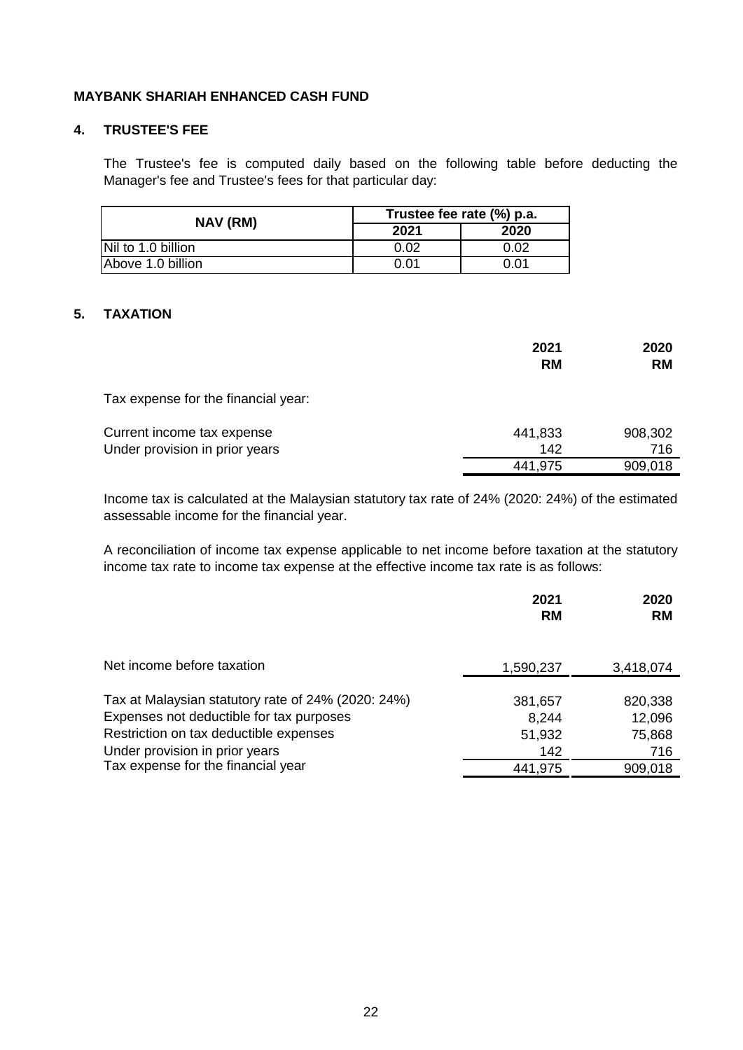#### **4. TRUSTEE'S FEE**

The Trustee's fee is computed daily based on the following table before deducting the Manager's fee and Trustee's fees for that particular day:

| NAV (RM)           | Trustee fee rate (%) p.a. |      |  |
|--------------------|---------------------------|------|--|
|                    | 2021                      | 2020 |  |
| Nil to 1.0 billion | ጋ.02                      | 0.02 |  |
| Above 1.0 billion  | ი.ი1                      | 0.01 |  |

## **5. TAXATION**

|                                     | 2021<br><b>RM</b> | 2020<br><b>RM</b> |
|-------------------------------------|-------------------|-------------------|
| Tax expense for the financial year: |                   |                   |
| Current income tax expense          | 441,833           | 908,302           |
| Under provision in prior years      | 142               | 716               |
|                                     | 441,975           | 909,018           |

Income tax is calculated at the Malaysian statutory tax rate of 24% (2020: 24%) of the estimated assessable income for the financial year.

A reconciliation of income tax expense applicable to net income before taxation at the statutory income tax rate to income tax expense at the effective income tax rate is as follows:

|                                                                                                                                                                            | 2021<br><b>RM</b>                 | 2020<br><b>RM</b>                  |
|----------------------------------------------------------------------------------------------------------------------------------------------------------------------------|-----------------------------------|------------------------------------|
| Net income before taxation                                                                                                                                                 | 1,590,237                         | 3,418,074                          |
| Tax at Malaysian statutory rate of 24% (2020: 24%)<br>Expenses not deductible for tax purposes<br>Restriction on tax deductible expenses<br>Under provision in prior years | 381,657<br>8,244<br>51,932<br>142 | 820,338<br>12,096<br>75,868<br>716 |
| Tax expense for the financial year                                                                                                                                         | 441,975                           | 909,018                            |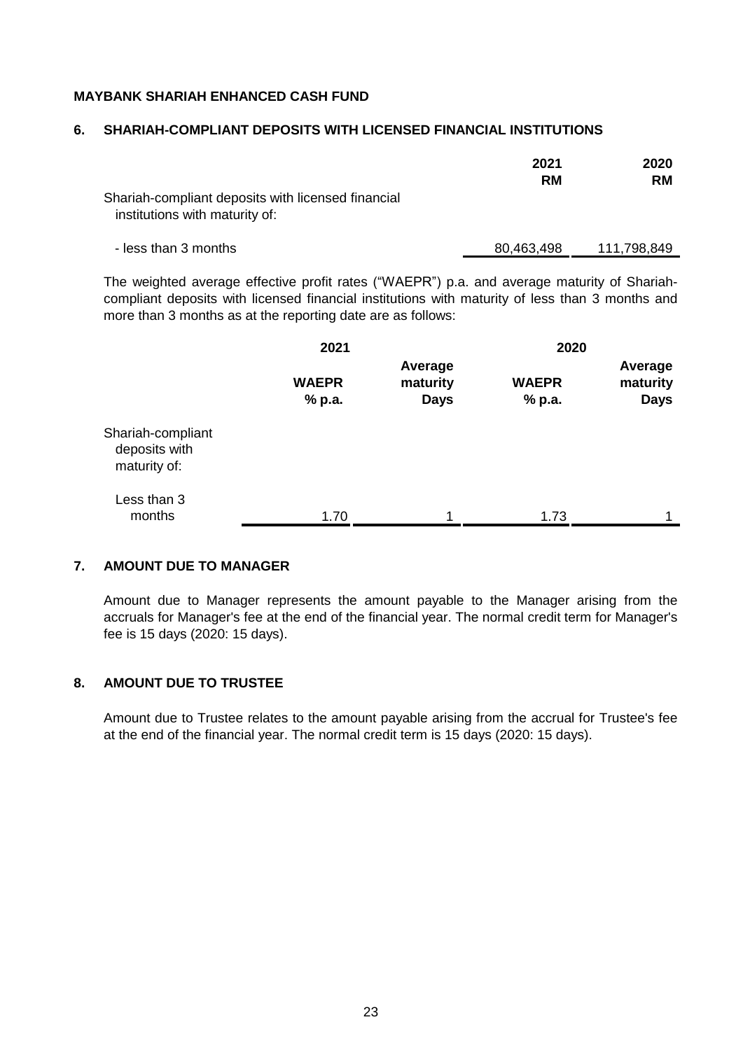#### **6. SHARIAH-COMPLIANT DEPOSITS WITH LICENSED FINANCIAL INSTITUTIONS**

|                                                                                      | 2021<br><b>RM</b> | 2020<br><b>RM</b> |
|--------------------------------------------------------------------------------------|-------------------|-------------------|
| Shariah-compliant deposits with licensed financial<br>institutions with maturity of: |                   |                   |
| - less than 3 months                                                                 | 80,463,498        | 111,798,849       |

The weighted average effective profit rates ("WAEPR") p.a. and average maturity of Shariahcompliant deposits with licensed financial institutions with maturity of less than 3 months and more than 3 months as at the reporting date are as follows:

|                                                    | 2021                   |                                    | 2020                   |                                    |  |
|----------------------------------------------------|------------------------|------------------------------------|------------------------|------------------------------------|--|
|                                                    | <b>WAEPR</b><br>% p.a. | Average<br>maturity<br><b>Days</b> | <b>WAEPR</b><br>% p.a. | Average<br>maturity<br><b>Days</b> |  |
| Shariah-compliant<br>deposits with<br>maturity of: |                        |                                    |                        |                                    |  |
| Less than 3<br>months                              | 1.70                   |                                    | 1.73                   | 1                                  |  |

#### **7. AMOUNT DUE TO MANAGER**

Amount due to Manager represents the amount payable to the Manager arising from the accruals for Manager's fee at the end of the financial year. The normal credit term for Manager's fee is 15 days (2020: 15 days).

## **8. AMOUNT DUE TO TRUSTEE**

Amount due to Trustee relates to the amount payable arising from the accrual for Trustee's fee at the end of the financial year. The normal credit term is 15 days (2020: 15 days).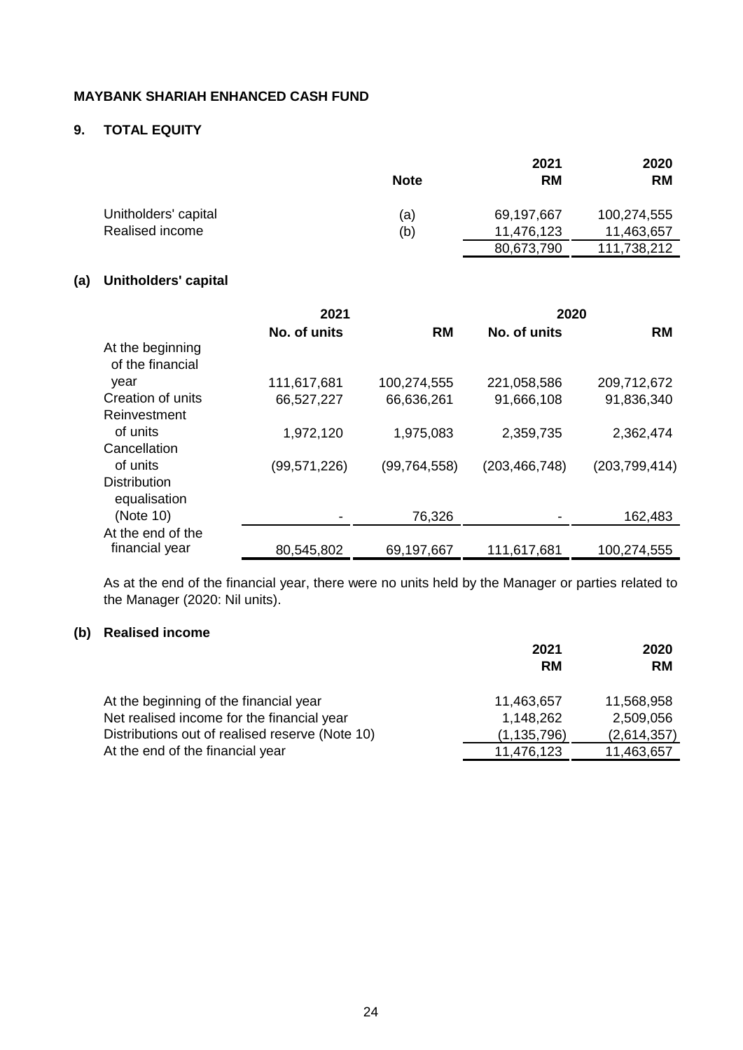# **9. TOTAL EQUITY**

|                      | <b>Note</b> | 2021<br><b>RM</b> | 2020<br><b>RM</b> |
|----------------------|-------------|-------------------|-------------------|
| Unitholders' capital | (a)         | 69,197,667        | 100,274,555       |
| Realised income      | (b)         | 11,476,123        | 11,463,657        |
|                      |             | 80,673,790        | 111,738,212       |

# **(a) Unitholders' capital**

|                                      | 2021           |                | 2020            |                 |
|--------------------------------------|----------------|----------------|-----------------|-----------------|
|                                      | No. of units   | <b>RM</b>      | No. of units    | <b>RM</b>       |
| At the beginning<br>of the financial |                |                |                 |                 |
| year                                 | 111,617,681    | 100,274,555    | 221,058,586     | 209,712,672     |
| Creation of units                    | 66,527,227     | 66,636,261     | 91,666,108      | 91,836,340      |
| Reinvestment                         |                |                |                 |                 |
| of units                             | 1,972,120      | 1,975,083      | 2,359,735       | 2,362,474       |
| Cancellation                         |                |                |                 |                 |
| of units                             | (99, 571, 226) | (99, 764, 558) | (203, 466, 748) | (203, 799, 414) |
| <b>Distribution</b><br>equalisation  |                |                |                 |                 |
| (Note 10)                            |                | 76,326         |                 | 162,483         |
| At the end of the                    |                |                |                 |                 |
| financial year                       | 80,545,802     | 69,197,667     | 111,617,681     | 100,274,555     |

As at the end of the financial year, there were no units held by the Manager or parties related to the Manager (2020: Nil units).

# **(b) Realised income**

|                                                 | 2021<br><b>RM</b> | 2020<br><b>RM</b> |
|-------------------------------------------------|-------------------|-------------------|
| At the beginning of the financial year          | 11,463,657        | 11,568,958        |
| Net realised income for the financial year      | 1,148,262         | 2,509,056         |
| Distributions out of realised reserve (Note 10) | (1, 135, 796)     | (2,614,357)       |
| At the end of the financial year                | 11,476,123        | 11,463,657        |
|                                                 |                   |                   |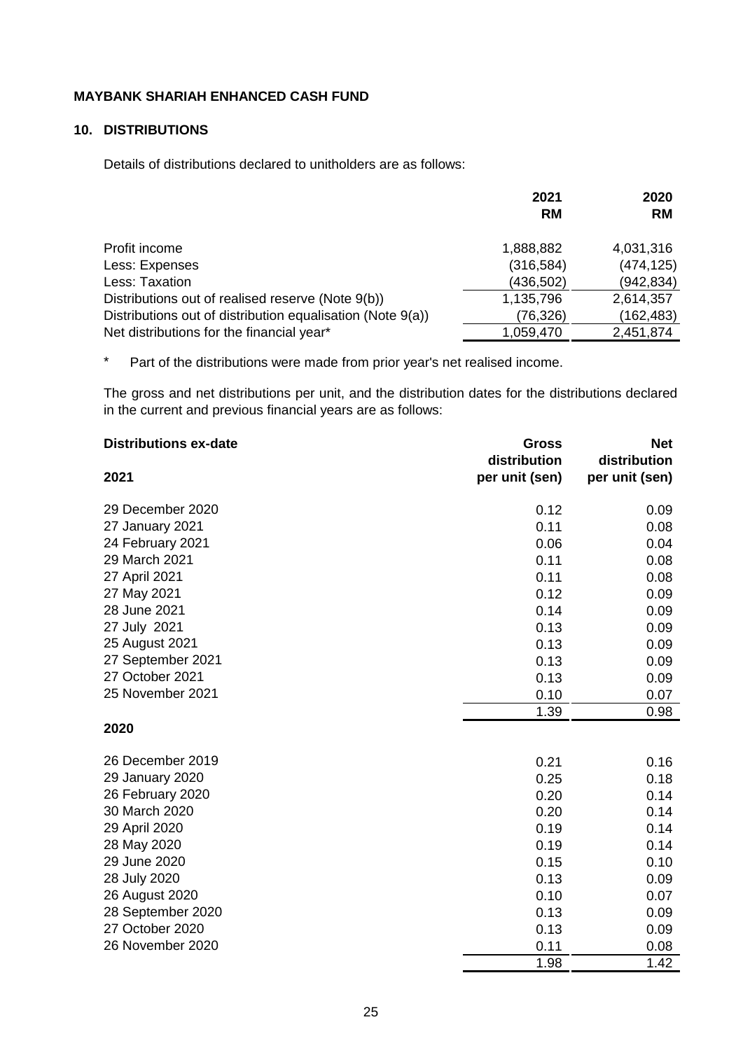## **10. DISTRIBUTIONS**

Details of distributions declared to unitholders are as follows:

|                                                            | 2021       | 2020       |
|------------------------------------------------------------|------------|------------|
|                                                            | <b>RM</b>  | <b>RM</b>  |
| Profit income                                              | 1,888,882  | 4,031,316  |
| Less: Expenses                                             | (316, 584) | (474, 125) |
| Less: Taxation                                             | (436,502)  | (942, 834) |
| Distributions out of realised reserve (Note 9(b))          | 1,135,796  | 2,614,357  |
| Distributions out of distribution equalisation (Note 9(a)) | (76, 326)  | (162, 483) |
| Net distributions for the financial year*                  | 1,059,470  | 2,451,874  |

\* Part of the distributions were made from prior year's net realised income.

The gross and net distributions per unit, and the distribution dates for the distributions declared in the current and previous financial years are as follows:

| <b>Distributions ex-date</b> | <b>Gross</b>   | <b>Net</b>     |
|------------------------------|----------------|----------------|
|                              | distribution   | distribution   |
| 2021                         | per unit (sen) | per unit (sen) |
| 29 December 2020             | 0.12           | 0.09           |
| 27 January 2021              | 0.11           | 0.08           |
| 24 February 2021             | 0.06           | 0.04           |
| 29 March 2021                | 0.11           | 0.08           |
| 27 April 2021                | 0.11           | 0.08           |
| 27 May 2021                  | 0.12           | 0.09           |
| 28 June 2021                 | 0.14           | 0.09           |
| 27 July 2021                 | 0.13           | 0.09           |
| 25 August 2021               | 0.13           | 0.09           |
| 27 September 2021            | 0.13           | 0.09           |
| 27 October 2021              | 0.13           | 0.09           |
| 25 November 2021             | 0.10           | 0.07           |
|                              | 1.39           | 0.98           |
| 2020                         |                |                |
| 26 December 2019             | 0.21           | 0.16           |
| 29 January 2020              | 0.25           | 0.18           |
| 26 February 2020             | 0.20           | 0.14           |
| 30 March 2020                | 0.20           | 0.14           |
| 29 April 2020                | 0.19           | 0.14           |
| 28 May 2020                  | 0.19           | 0.14           |
| 29 June 2020                 | 0.15           | 0.10           |
| 28 July 2020                 | 0.13           | 0.09           |
| 26 August 2020               | 0.10           | 0.07           |
| 28 September 2020            | 0.13           | 0.09           |
| 27 October 2020              | 0.13           | 0.09           |
| 26 November 2020             | 0.11           | 0.08           |
|                              | 1.98           | 1.42           |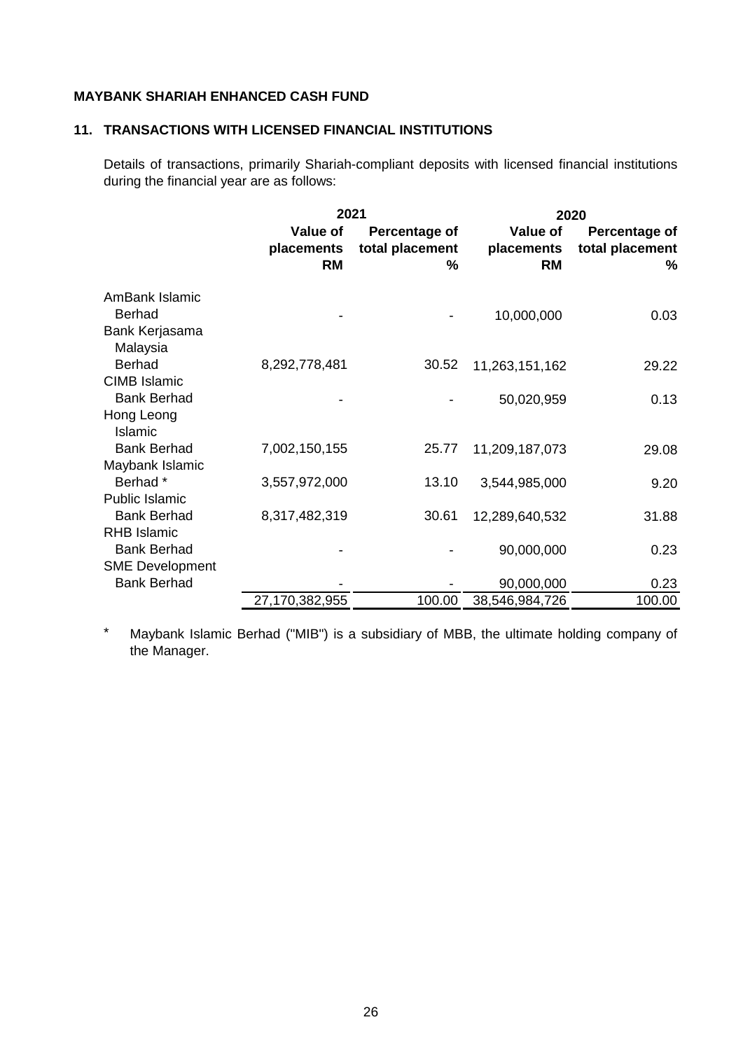## **11. TRANSACTIONS WITH LICENSED FINANCIAL INSTITUTIONS**

Details of transactions, primarily Shariah-compliant deposits with licensed financial institutions during the financial year are as follows:

|                                                                    | 2021                                |                                       |                                            | 2020                                  |
|--------------------------------------------------------------------|-------------------------------------|---------------------------------------|--------------------------------------------|---------------------------------------|
|                                                                    | Value of<br>placements<br><b>RM</b> | Percentage of<br>total placement<br>℅ | <b>Value of</b><br>placements<br><b>RM</b> | Percentage of<br>total placement<br>% |
| AmBank Islamic<br><b>Berhad</b><br>Bank Kerjasama<br>Malaysia      |                                     |                                       | 10,000,000                                 | 0.03                                  |
| <b>Berhad</b>                                                      | 8,292,778,481                       | 30.52                                 | 11,263,151,162                             | 29.22                                 |
| <b>CIMB Islamic</b><br><b>Bank Berhad</b><br>Hong Leong<br>Islamic |                                     |                                       | 50,020,959                                 | 0.13                                  |
| <b>Bank Berhad</b>                                                 | 7,002,150,155                       | 25.77                                 | 11,209,187,073                             | 29.08                                 |
| Maybank Islamic<br>Berhad*<br>Public Islamic                       | 3,557,972,000                       | 13.10                                 | 3,544,985,000                              | 9.20                                  |
| <b>Bank Berhad</b>                                                 | 8,317,482,319                       | 30.61                                 | 12,289,640,532                             | 31.88                                 |
| <b>RHB Islamic</b><br><b>Bank Berhad</b><br><b>SME Development</b> |                                     |                                       | 90,000,000                                 | 0.23                                  |
| <b>Bank Berhad</b>                                                 |                                     |                                       | 90,000,000                                 | 0.23                                  |
|                                                                    | 27,170,382,955                      | 100.00                                | 38,546,984,726                             | 100.00                                |

\* Maybank Islamic Berhad ("MIB") is a subsidiary of MBB, the ultimate holding company of the Manager.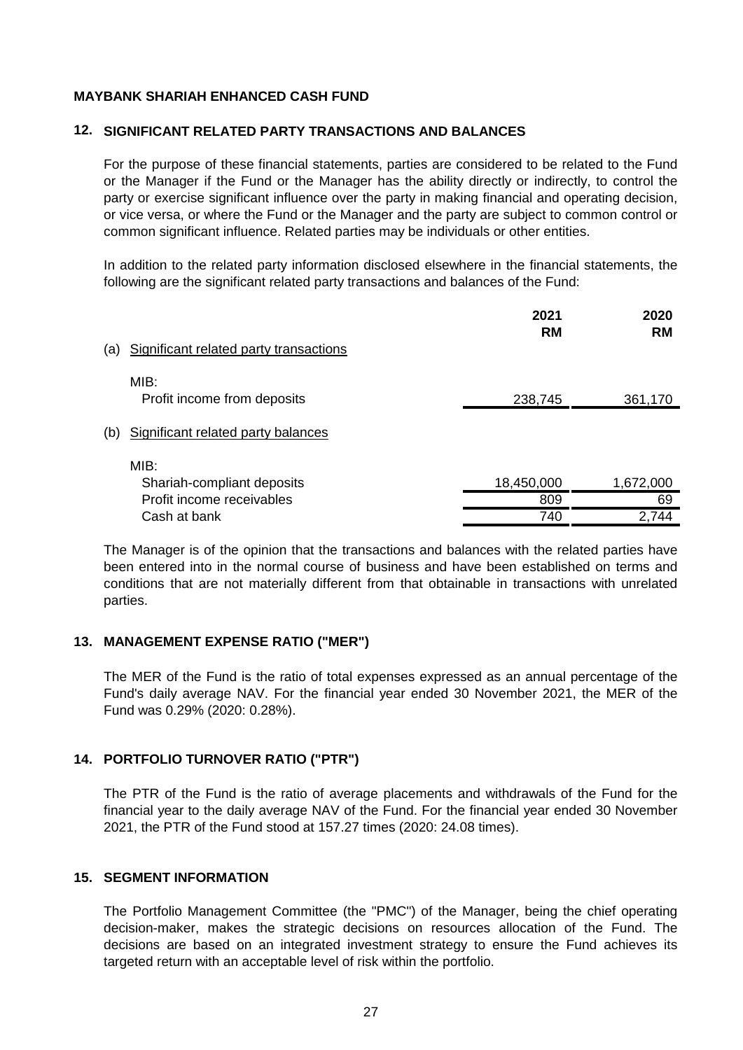#### **12. SIGNIFICANT RELATED PARTY TRANSACTIONS AND BALANCES**

For the purpose of these financial statements, parties are considered to be related to the Fund or the Manager if the Fund or the Manager has the ability directly or indirectly, to control the party or exercise significant influence over the party in making financial and operating decision, or vice versa, or where the Fund or the Manager and the party are subject to common control or common significant influence. Related parties may be individuals or other entities.

In addition to the related party information disclosed elsewhere in the financial statements, the following are the significant related party transactions and balances of the Fund:

|     |                                        | 2021<br><b>RM</b> | 2020<br><b>RM</b> |
|-----|----------------------------------------|-------------------|-------------------|
| (a) | Significant related party transactions |                   |                   |
|     | MIB:<br>Profit income from deposits    | 238,745           | 361,170           |
| (b) | Significant related party balances     |                   |                   |
|     | MIB:<br>Shariah-compliant deposits     | 18,450,000        | 1,672,000         |
|     | Profit income receivables              | 809               | 69                |
|     | Cash at bank                           | 740               | 2,744             |

The Manager is of the opinion that the transactions and balances with the related parties have been entered into in the normal course of business and have been established on terms and conditions that are not materially different from that obtainable in transactions with unrelated parties.

## **13. MANAGEMENT EXPENSE RATIO ("MER")**

The MER of the Fund is the ratio of total expenses expressed as an annual percentage of the Fund's daily average NAV. For the financial year ended 30 November 2021, the MER of the Fund was 0.29% (2020: 0.28%).

## **14. PORTFOLIO TURNOVER RATIO ("PTR")**

The PTR of the Fund is the ratio of average placements and withdrawals of the Fund for the financial year to the daily average NAV of the Fund. For the financial year ended 30 November 2021, the PTR of the Fund stood at 157.27 times (2020: 24.08 times).

#### **15. SEGMENT INFORMATION**

The Portfolio Management Committee (the "PMC") of the Manager, being the chief operating decision-maker, makes the strategic decisions on resources allocation of the Fund. The decisions are based on an integrated investment strategy to ensure the Fund achieves its targeted return with an acceptable level of risk within the portfolio.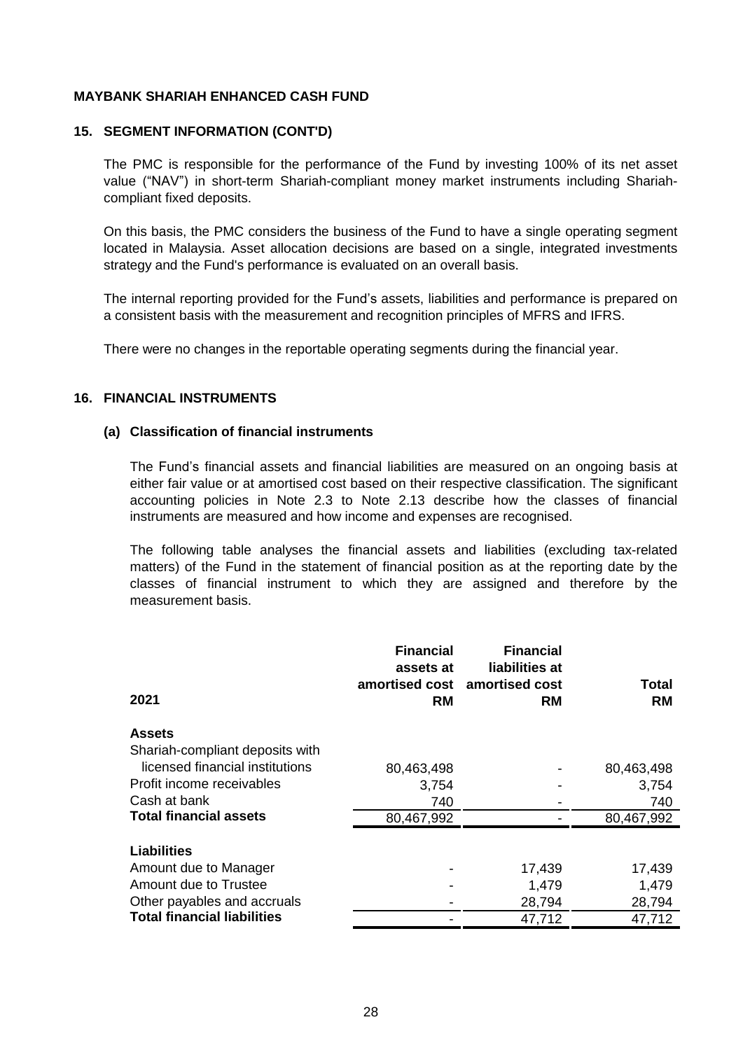#### **15. SEGMENT INFORMATION (CONT'D)**

The PMC is responsible for the performance of the Fund by investing 100% of its net asset value ("NAV") in short-term Shariah-compliant money market instruments including Shariahcompliant fixed deposits.

On this basis, the PMC considers the business of the Fund to have a single operating segment located in Malaysia. Asset allocation decisions are based on a single, integrated investments strategy and the Fund's performance is evaluated on an overall basis.

The internal reporting provided for the Fund's assets, liabilities and performance is prepared on a consistent basis with the measurement and recognition principles of MFRS and IFRS.

There were no changes in the reportable operating segments during the financial year.

## **16. FINANCIAL INSTRUMENTS**

#### **(a) Classification of financial instruments**

The Fund's financial assets and financial liabilities are measured on an ongoing basis at either fair value or at amortised cost based on their respective classification. The significant accounting policies in Note 2.3 to Note 2.13 describe how the classes of financial instruments are measured and how income and expenses are recognised.

The following table analyses the financial assets and liabilities (excluding tax-related matters) of the Fund in the statement of financial position as at the reporting date by the classes of financial instrument to which they are assigned and therefore by the measurement basis.

| 2021                                        | <b>Financial</b><br>assets at<br><b>RM</b> | <b>Financial</b><br>liabilities at<br>amortised cost amortised cost<br><b>RM</b> | Total<br><b>RM</b> |
|---------------------------------------------|--------------------------------------------|----------------------------------------------------------------------------------|--------------------|
| <b>Assets</b>                               |                                            |                                                                                  |                    |
| Shariah-compliant deposits with             |                                            |                                                                                  |                    |
| licensed financial institutions             | 80,463,498                                 |                                                                                  | 80,463,498         |
| Profit income receivables                   | 3,754                                      |                                                                                  | 3,754              |
| Cash at bank                                | 740                                        |                                                                                  | 740                |
| <b>Total financial assets</b>               | 80,467,992                                 |                                                                                  | 80,467,992         |
| <b>Liabilities</b><br>Amount due to Manager |                                            | 17,439                                                                           | 17,439             |
| Amount due to Trustee                       |                                            | 1,479                                                                            | 1,479              |
| Other payables and accruals                 |                                            | 28,794                                                                           | 28,794             |
| <b>Total financial liabilities</b>          |                                            | 47,712                                                                           | 47,712             |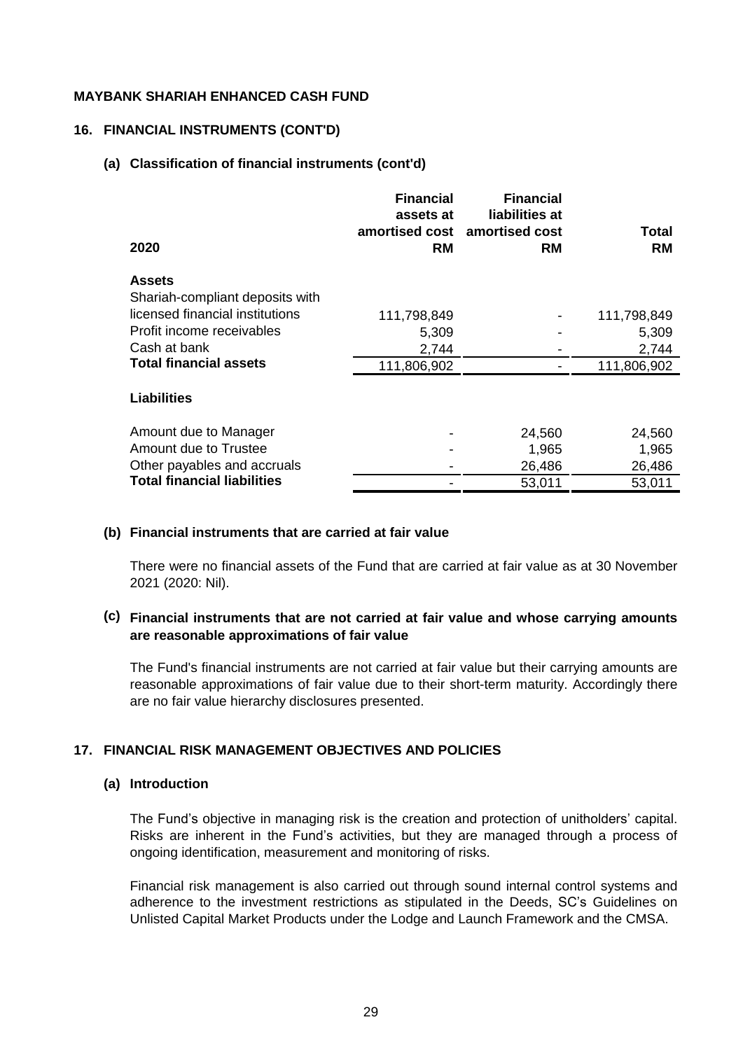#### **16. FINANCIAL INSTRUMENTS (CONT'D)**

#### **(a) Classification of financial instruments (cont'd)**

| 2020                               | <b>Financial</b><br>assets at<br><b>RM</b> | <b>Financial</b><br>liabilities at<br>amortised cost amortised cost<br><b>RM</b> | <b>Total</b><br><b>RM</b> |
|------------------------------------|--------------------------------------------|----------------------------------------------------------------------------------|---------------------------|
| <b>Assets</b>                      |                                            |                                                                                  |                           |
| Shariah-compliant deposits with    |                                            |                                                                                  |                           |
| licensed financial institutions    | 111,798,849                                |                                                                                  | 111,798,849               |
| Profit income receivables          | 5,309                                      |                                                                                  | 5,309                     |
| Cash at bank                       | 2,744                                      |                                                                                  | 2,744                     |
| <b>Total financial assets</b>      | 111,806,902                                |                                                                                  | 111,806,902               |
| <b>Liabilities</b>                 |                                            |                                                                                  |                           |
| Amount due to Manager              |                                            | 24,560                                                                           | 24,560                    |
| Amount due to Trustee              |                                            | 1,965                                                                            | 1,965                     |
| Other payables and accruals        |                                            | 26,486                                                                           | 26,486                    |
| <b>Total financial liabilities</b> |                                            | 53,011                                                                           | 53,011                    |

#### **(b) Financial instruments that are carried at fair value**

There were no financial assets of the Fund that are carried at fair value as at 30 November 2021 (2020: Nil).

#### **(c) Financial instruments that are not carried at fair value and whose carrying amounts are reasonable approximations of fair value**

The Fund's financial instruments are not carried at fair value but their carrying amounts are reasonable approximations of fair value due to their short-term maturity. Accordingly there are no fair value hierarchy disclosures presented.

#### **17. FINANCIAL RISK MANAGEMENT OBJECTIVES AND POLICIES**

#### **(a) Introduction**

The Fund's objective in managing risk is the creation and protection of unitholders' capital. Risks are inherent in the Fund's activities, but they are managed through a process of ongoing identification, measurement and monitoring of risks.

Financial risk management is also carried out through sound internal control systems and adherence to the investment restrictions as stipulated in the Deeds, SC's Guidelines on Unlisted Capital Market Products under the Lodge and Launch Framework and the CMSA.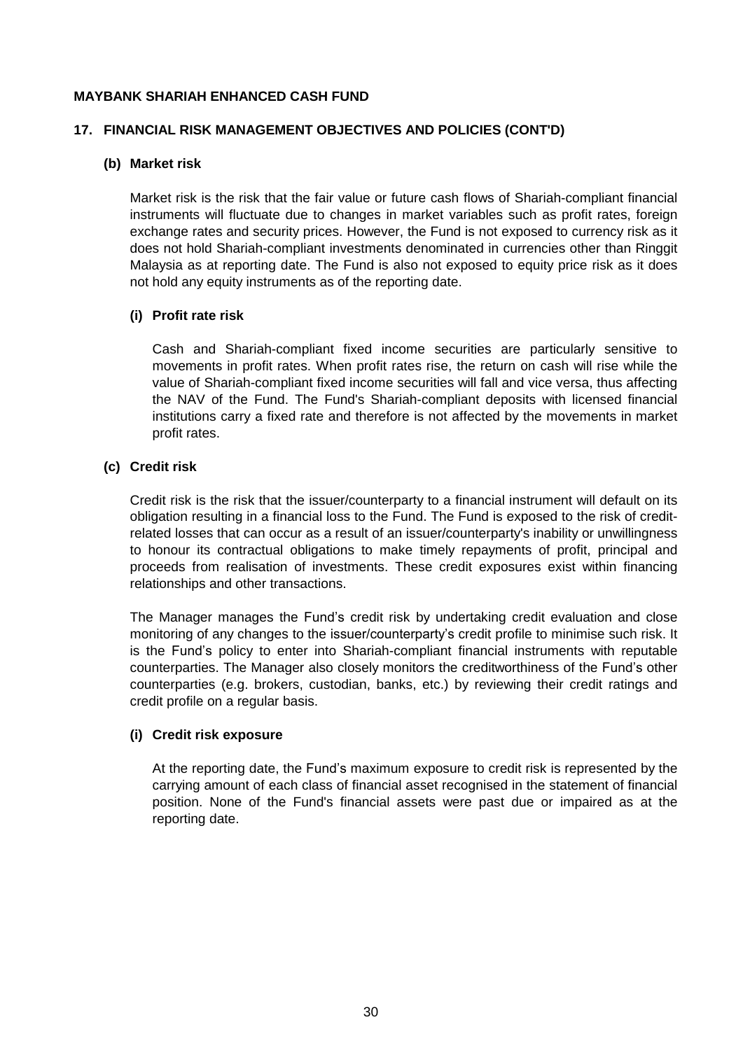#### **17. FINANCIAL RISK MANAGEMENT OBJECTIVES AND POLICIES (CONT'D)**

#### **(b) Market risk**

Market risk is the risk that the fair value or future cash flows of Shariah-compliant financial instruments will fluctuate due to changes in market variables such as profit rates, foreign exchange rates and security prices. However, the Fund is not exposed to currency risk as it does not hold Shariah-compliant investments denominated in currencies other than Ringgit Malaysia as at reporting date. The Fund is also not exposed to equity price risk as it does not hold any equity instruments as of the reporting date.

#### **(i) Profit rate risk**

Cash and Shariah-compliant fixed income securities are particularly sensitive to movements in profit rates. When profit rates rise, the return on cash will rise while the value of Shariah-compliant fixed income securities will fall and vice versa, thus affecting the NAV of the Fund. The Fund's Shariah-compliant deposits with licensed financial institutions carry a fixed rate and therefore is not affected by the movements in market profit rates.

## **(c) Credit risk**

Credit risk is the risk that the issuer/counterparty to a financial instrument will default on its obligation resulting in a financial loss to the Fund. The Fund is exposed to the risk of creditrelated losses that can occur as a result of an issuer/counterparty's inability or unwillingness to honour its contractual obligations to make timely repayments of profit, principal and proceeds from realisation of investments. These credit exposures exist within financing relationships and other transactions.

The Manager manages the Fund's credit risk by undertaking credit evaluation and close monitoring of any changes to the issuer/counterparty's credit profile to minimise such risk. It is the Fund's policy to enter into Shariah-compliant financial instruments with reputable counterparties. The Manager also closely monitors the creditworthiness of the Fund's other counterparties (e.g. brokers, custodian, banks, etc.) by reviewing their credit ratings and credit profile on a regular basis.

#### **(i) Credit risk exposure**

At the reporting date, the Fund's maximum exposure to credit risk is represented by the carrying amount of each class of financial asset recognised in the statement of financial position. None of the Fund's financial assets were past due or impaired as at the reporting date.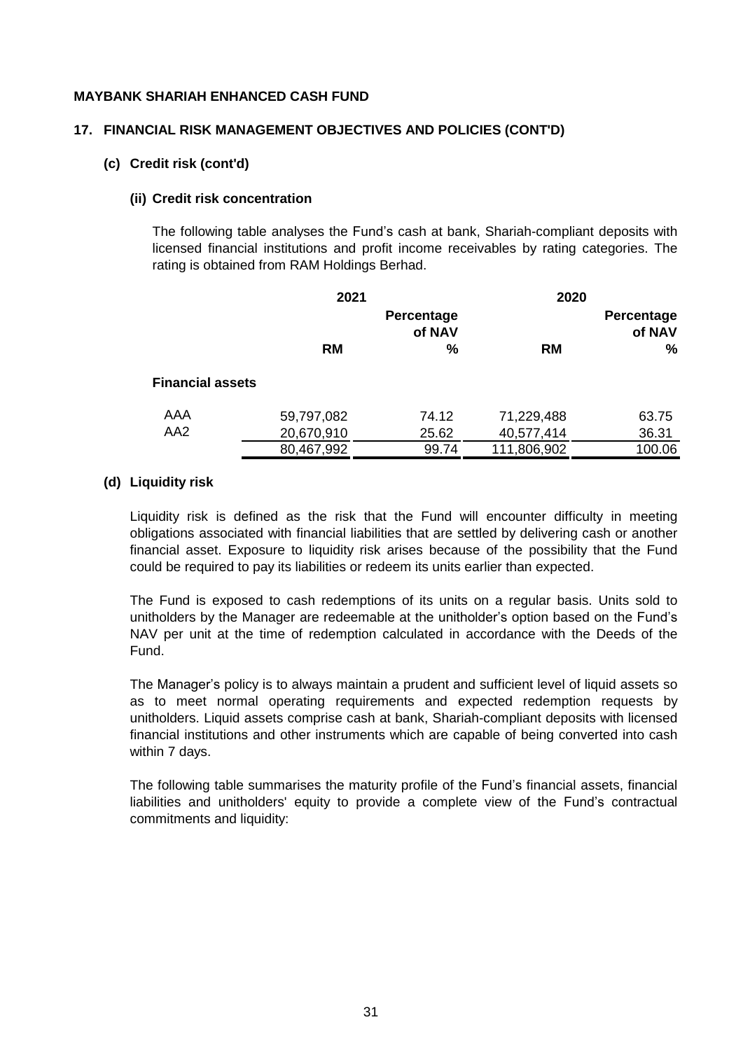#### **17. FINANCIAL RISK MANAGEMENT OBJECTIVES AND POLICIES (CONT'D)**

#### **(c) Credit risk (cont'd)**

#### **(ii) Credit risk concentration**

The following table analyses the Fund's cash at bank, Shariah-compliant deposits with licensed financial institutions and profit income receivables by rating categories. The rating is obtained from RAM Holdings Berhad.

|                         |            | 2021                 |             | 2020                 |
|-------------------------|------------|----------------------|-------------|----------------------|
|                         |            | Percentage<br>of NAV |             | Percentage<br>of NAV |
|                         | <b>RM</b>  | $\frac{0}{0}$        | <b>RM</b>   | ℅                    |
| <b>Financial assets</b> |            |                      |             |                      |
| AAA                     | 59,797,082 | 74.12                | 71,229,488  | 63.75                |
| AA <sub>2</sub>         | 20,670,910 | 25.62                | 40,577,414  | 36.31                |
|                         | 80,467,992 | 99.74                | 111,806,902 | 100.06               |

#### **(d) Liquidity risk**

Liquidity risk is defined as the risk that the Fund will encounter difficulty in meeting obligations associated with financial liabilities that are settled by delivering cash or another financial asset. Exposure to liquidity risk arises because of the possibility that the Fund could be required to pay its liabilities or redeem its units earlier than expected.

The Fund is exposed to cash redemptions of its units on a regular basis. Units sold to unitholders by the Manager are redeemable at the unitholder's option based on the Fund's NAV per unit at the time of redemption calculated in accordance with the Deeds of the Fund.

The Manager's policy is to always maintain a prudent and sufficient level of liquid assets so as to meet normal operating requirements and expected redemption requests by unitholders. Liquid assets comprise cash at bank, Shariah-compliant deposits with licensed financial institutions and other instruments which are capable of being converted into cash within 7 days.

The following table summarises the maturity profile of the Fund's financial assets, financial liabilities and unitholders' equity to provide a complete view of the Fund's contractual commitments and liquidity: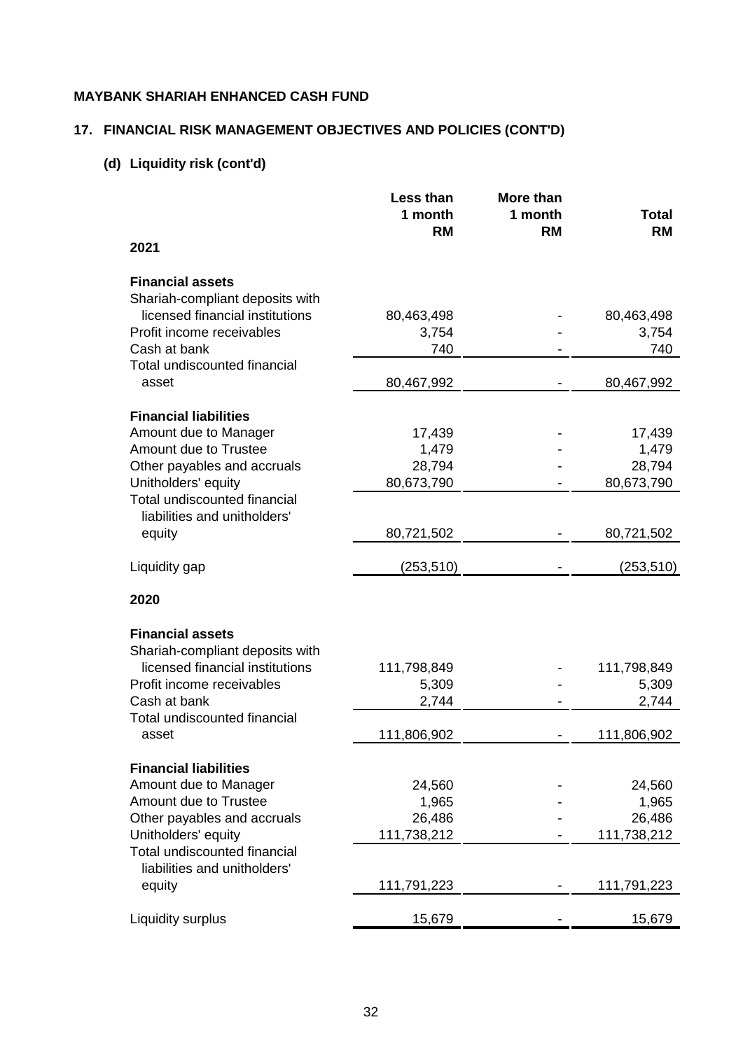# **17. FINANCIAL RISK MANAGEMENT OBJECTIVES AND POLICIES (CONT'D)**

# **(d) Liquidity risk (cont'd)**

|                                 | Less than   | More than |             |
|---------------------------------|-------------|-----------|-------------|
|                                 | 1 month     | 1 month   | Total       |
|                                 | <b>RM</b>   | <b>RM</b> | <b>RM</b>   |
| 2021                            |             |           |             |
| <b>Financial assets</b>         |             |           |             |
| Shariah-compliant deposits with |             |           |             |
| licensed financial institutions | 80,463,498  |           | 80,463,498  |
| Profit income receivables       | 3,754       |           | 3,754       |
| Cash at bank                    | 740         |           | 740         |
| Total undiscounted financial    |             |           |             |
| asset                           | 80,467,992  |           | 80,467,992  |
| <b>Financial liabilities</b>    |             |           |             |
| Amount due to Manager           | 17,439      |           | 17,439      |
| Amount due to Trustee           | 1,479       |           | 1,479       |
| Other payables and accruals     | 28,794      |           | 28,794      |
| Unitholders' equity             | 80,673,790  |           | 80,673,790  |
| Total undiscounted financial    |             |           |             |
| liabilities and unitholders'    |             |           |             |
| equity                          | 80,721,502  |           | 80,721,502  |
| Liquidity gap                   | (253, 510)  |           | (253, 510)  |
| 2020                            |             |           |             |
| <b>Financial assets</b>         |             |           |             |
| Shariah-compliant deposits with |             |           |             |
| licensed financial institutions | 111,798,849 |           | 111,798,849 |
| Profit income receivables       | 5,309       |           | 5,309       |
| Cash at bank                    | 2,744       |           | 2,744       |
| Total undiscounted financial    |             |           |             |
| asset                           | 111,806,902 |           | 111,806,902 |
| <b>Financial liabilities</b>    |             |           |             |
| Amount due to Manager           | 24,560      |           | 24,560      |
| Amount due to Trustee           | 1,965       |           | 1,965       |
| Other payables and accruals     | 26,486      |           | 26,486      |
| Unitholders' equity             | 111,738,212 |           | 111,738,212 |
| Total undiscounted financial    |             |           |             |
| liabilities and unitholders'    |             |           |             |
| equity                          | 111,791,223 |           | 111,791,223 |
|                                 |             |           |             |
| Liquidity surplus               | 15,679      |           | 15,679      |